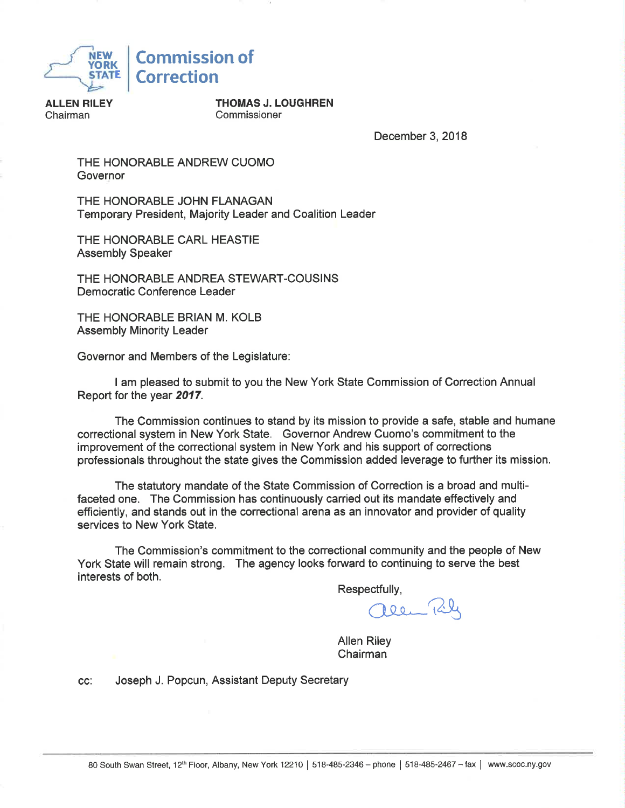

**ALLEN RILEY** Chairman

**THOMAS J. LOUGHREN** Commissioner

December 3, 2018

THE HONORABLE ANDREW CUOMO Governor

THE HONORABLE JOHN FLANAGAN Temporary President, Majority Leader and Coalition Leader

THE HONORABLE CARL HEASTIE **Assembly Speaker** 

THE HONORABLE ANDREA STEWART-COUSINS Democratic Conference Leader

THE HONORABLE BRIAN M. KOLB **Assembly Minority Leader** 

Governor and Members of the Legislature:

I am pleased to submit to you the New York State Commission of Correction Annual Report for the year 2017.

The Commission continues to stand by its mission to provide a safe, stable and humane correctional system in New York State. Governor Andrew Cuomo's commitment to the improvement of the correctional system in New York and his support of corrections professionals throughout the state gives the Commission added leverage to further its mission.

The statutory mandate of the State Commission of Correction is a broad and multifaceted one. The Commission has continuously carried out its mandate effectively and efficiently, and stands out in the correctional arena as an innovator and provider of quality services to New York State.

The Commission's commitment to the correctional community and the people of New York State will remain strong. The agency looks forward to continuing to serve the best interests of both.

Respectfully,

 $POQ$ 

**Allen Riley** Chairman

Joseph J. Popcun, Assistant Deputy Secretary CC: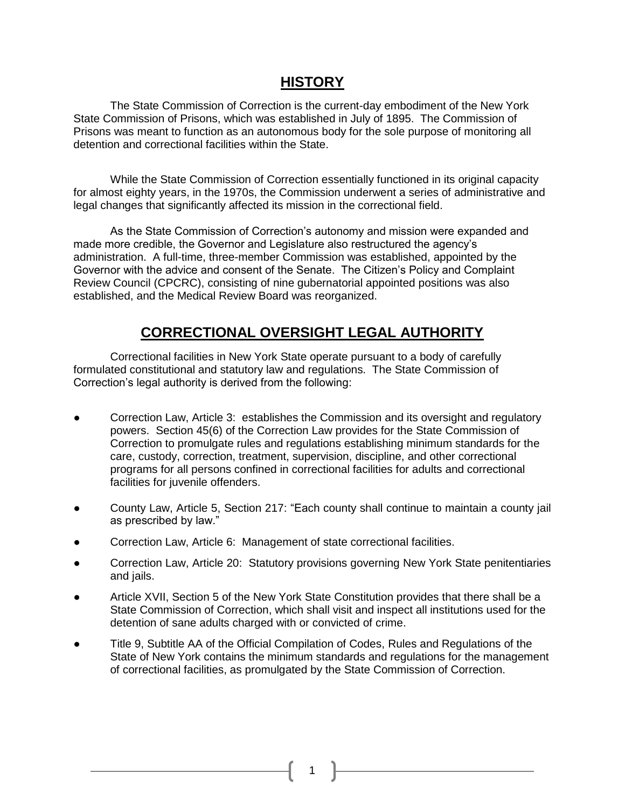## **HISTORY**

The State Commission of Correction is the current-day embodiment of the New York State Commission of Prisons, which was established in July of 1895. The Commission of Prisons was meant to function as an autonomous body for the sole purpose of monitoring all detention and correctional facilities within the State.

While the State Commission of Correction essentially functioned in its original capacity for almost eighty years, in the 1970s, the Commission underwent a series of administrative and legal changes that significantly affected its mission in the correctional field.

As the State Commission of Correction's autonomy and mission were expanded and made more credible, the Governor and Legislature also restructured the agency's administration. A full-time, three-member Commission was established, appointed by the Governor with the advice and consent of the Senate. The Citizen's Policy and Complaint Review Council (CPCRC), consisting of nine gubernatorial appointed positions was also established, and the Medical Review Board was reorganized.

## **CORRECTIONAL OVERSIGHT LEGAL AUTHORITY**

Correctional facilities in New York State operate pursuant to a body of carefully formulated constitutional and statutory law and regulations. The State Commission of Correction's legal authority is derived from the following:

- Correction Law, Article 3: establishes the Commission and its oversight and regulatory powers. Section 45(6) of the Correction Law provides for the State Commission of Correction to promulgate rules and regulations establishing minimum standards for the care, custody, correction, treatment, supervision, discipline, and other correctional programs for all persons confined in correctional facilities for adults and correctional facilities for juvenile offenders.
- County Law, Article 5, Section 217: "Each county shall continue to maintain a county jail as prescribed by law."
- Correction Law, Article 6: Management of state correctional facilities.
- Correction Law, Article 20: Statutory provisions governing New York State penitentiaries and jails.
- Article XVII, Section 5 of the New York State Constitution provides that there shall be a State Commission of Correction, which shall visit and inspect all institutions used for the detention of sane adults charged with or convicted of crime.
- Title 9, Subtitle AA of the Official Compilation of Codes, Rules and Regulations of the State of New York contains the minimum standards and regulations for the management of correctional facilities, as promulgated by the State Commission of Correction.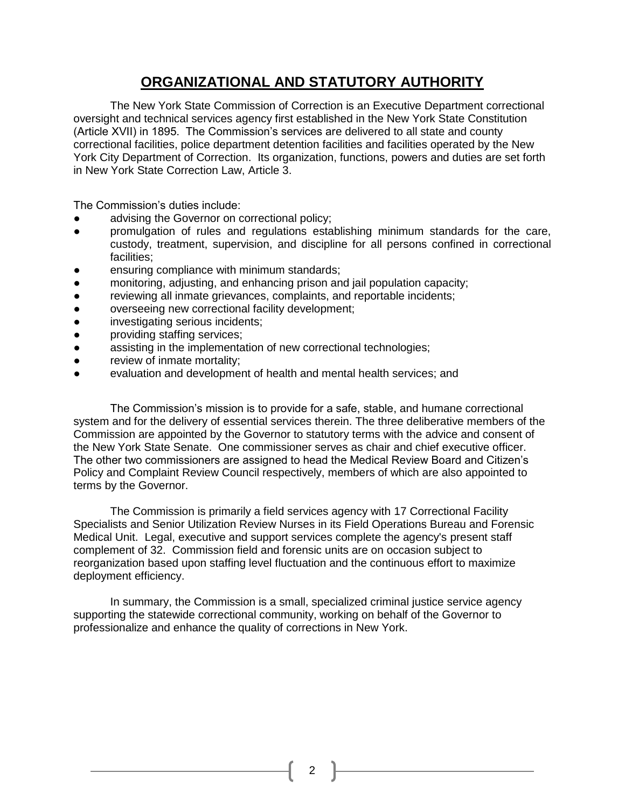## **ORGANIZATIONAL AND STATUTORY AUTHORITY**

The New York State Commission of Correction is an Executive Department correctional oversight and technical services agency first established in the New York State Constitution (Article XVII) in 1895. The Commission's services are delivered to all state and county correctional facilities, police department detention facilities and facilities operated by the New York City Department of Correction. Its organization, functions, powers and duties are set forth in New York State Correction Law, Article 3.

The Commission's duties include:

- advising the Governor on correctional policy;
- promulgation of rules and regulations establishing minimum standards for the care, custody, treatment, supervision, and discipline for all persons confined in correctional facilities;
- ensuring compliance with minimum standards;
- monitoring, adjusting, and enhancing prison and jail population capacity;
- reviewing all inmate grievances, complaints, and reportable incidents;
- overseeing new correctional facility development;
- investigating serious incidents;
- providing staffing services;
- assisting in the implementation of new correctional technologies;
- review of inmate mortality;
- evaluation and development of health and mental health services; and

The Commission's mission is to provide for a safe, stable, and humane correctional system and for the delivery of essential services therein. The three deliberative members of the Commission are appointed by the Governor to statutory terms with the advice and consent of the New York State Senate. One commissioner serves as chair and chief executive officer. The other two commissioners are assigned to head the Medical Review Board and Citizen's Policy and Complaint Review Council respectively, members of which are also appointed to terms by the Governor.

The Commission is primarily a field services agency with 17 Correctional Facility Specialists and Senior Utilization Review Nurses in its Field Operations Bureau and Forensic Medical Unit. Legal, executive and support services complete the agency's present staff complement of 32. Commission field and forensic units are on occasion subject to reorganization based upon staffing level fluctuation and the continuous effort to maximize deployment efficiency.

In summary, the Commission is a small, specialized criminal justice service agency supporting the statewide correctional community, working on behalf of the Governor to professionalize and enhance the quality of corrections in New York.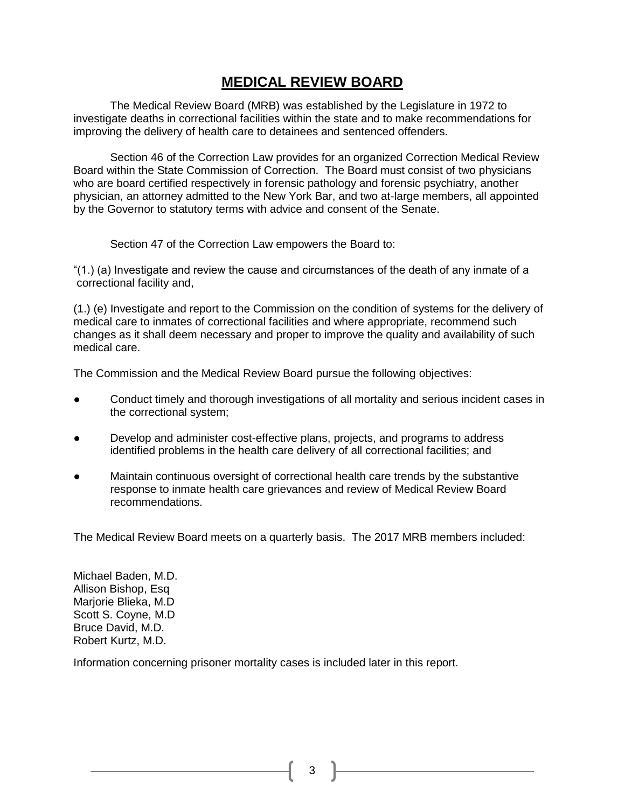## **MEDICAL REVIEW BOARD**

The Medical Review Board (MRB) was established by the Legislature in 1972 to investigate deaths in correctional facilities within the state and to make recommendations for improving the delivery of health care to detainees and sentenced offenders.

Section 46 of the Correction Law provides for an organized Correction Medical Review Board within the State Commission of Correction. The Board must consist of two physicians who are board certified respectively in forensic pathology and forensic psychiatry, another physician, an attorney admitted to the New York Bar, and two at-large members, all appointed by the Governor to statutory terms with advice and consent of the Senate.

Section 47 of the Correction Law empowers the Board to:

" $(1)$  (a) Investigate and review the cause and circumstances of the death of any inmate of a correctional facility and,

(1.) (e) Investigate and report to the Commission on the condition of systems for the delivery of medical care to inmates of correctional facilities and where appropriate, recommend such changes as it shall deem necessary and proper to improve the quality and availability of such medical care.

The Commission and the Medical Review Board pursue the following objectives:

- Conduct timely and thorough investigations of all mortality and serious incident cases in the correctional system;
- Develop and administer cost-effective plans, projects, and programs to address identified problems in the health care delivery of all correctional facilities; and
- Maintain continuous oversight of correctional health care trends by the substantive response to inmate health care grievances and review of Medical Review Board recommendations.

The Medical Review Board meets on a quarterly basis. The 2017 MRB members included:

Michael Baden, M.D. Allison Bishop, Esq Marjorie Blieka, M.D Scott S. Coyne, M.D Bruce David, M.D. Robert Kurtz, M.D.

Information concerning prisoner mortality cases is included later in this report.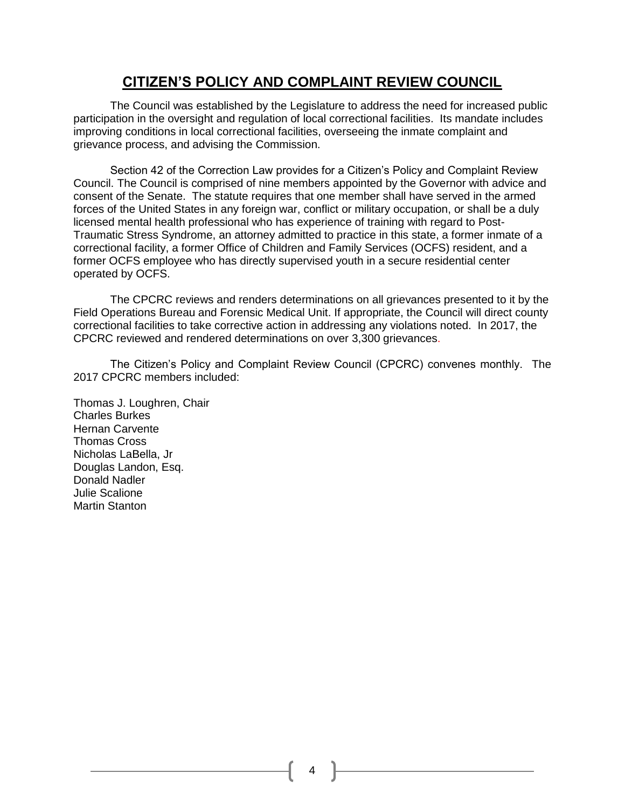## **CITIZEN'S POLICY AND COMPLAINT REVIEW COUNCIL**

The Council was established by the Legislature to address the need for increased public participation in the oversight and regulation of local correctional facilities. Its mandate includes improving conditions in local correctional facilities, overseeing the inmate complaint and grievance process, and advising the Commission.

Section 42 of the Correction Law provides for a Citizen's Policy and Complaint Review Council. The Council is comprised of nine members appointed by the Governor with advice and consent of the Senate. The statute requires that one member shall have served in the armed forces of the United States in any foreign war, conflict or military occupation, or shall be a duly licensed mental health professional who has experience of training with regard to Post-Traumatic Stress Syndrome, an attorney admitted to practice in this state, a former inmate of a correctional facility, a former Office of Children and Family Services (OCFS) resident, and a former OCFS employee who has directly supervised youth in a secure residential center operated by OCFS.

The CPCRC reviews and renders determinations on all grievances presented to it by the Field Operations Bureau and Forensic Medical Unit. If appropriate, the Council will direct county correctional facilities to take corrective action in addressing any violations noted. In 2017, the CPCRC reviewed and rendered determinations on over 3,300 grievances.

The Citizen's Policy and Complaint Review Council (CPCRC) convenes monthly. The 2017 CPCRC members included:

Thomas J. Loughren, Chair Charles Burkes Hernan Carvente Thomas Cross Nicholas LaBella, Jr Douglas Landon, Esq. Donald Nadler Julie Scalione Martin Stanton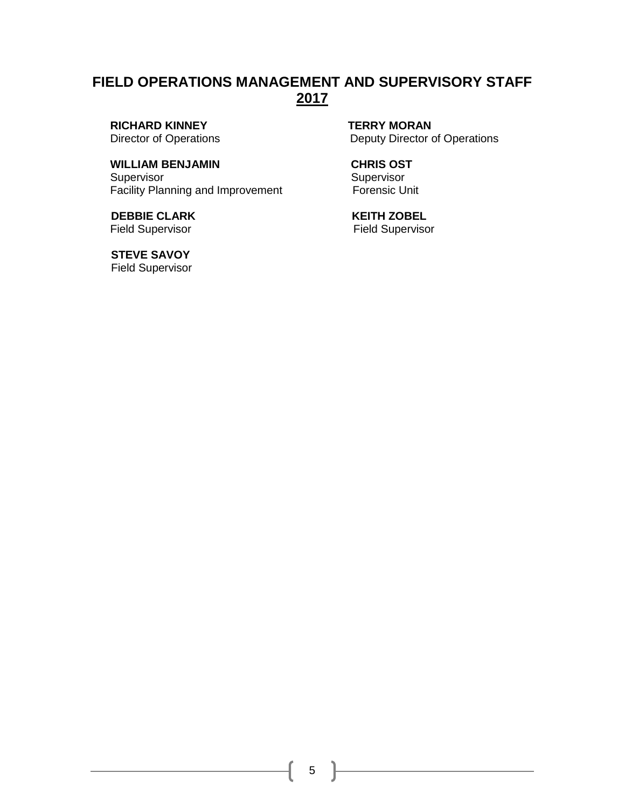## **FIELD OPERATIONS MANAGEMENT AND SUPERVISORY STAFF 2017**

**RICHARD KINNEY TERRY MORAN** 

### WILLIAM BENJAMIN **CHRIS OST**

Supervisor Supervisor Supervisor Facility Planning and Improvement Forensic Unit

**DEBBIE CLARK KEITH ZOBEL** Field Supervisor **Field Supervisor** Field Supervisor

 **STEVE SAVOY**  Field Supervisor

Director of Operations **Deputy Director of Operations**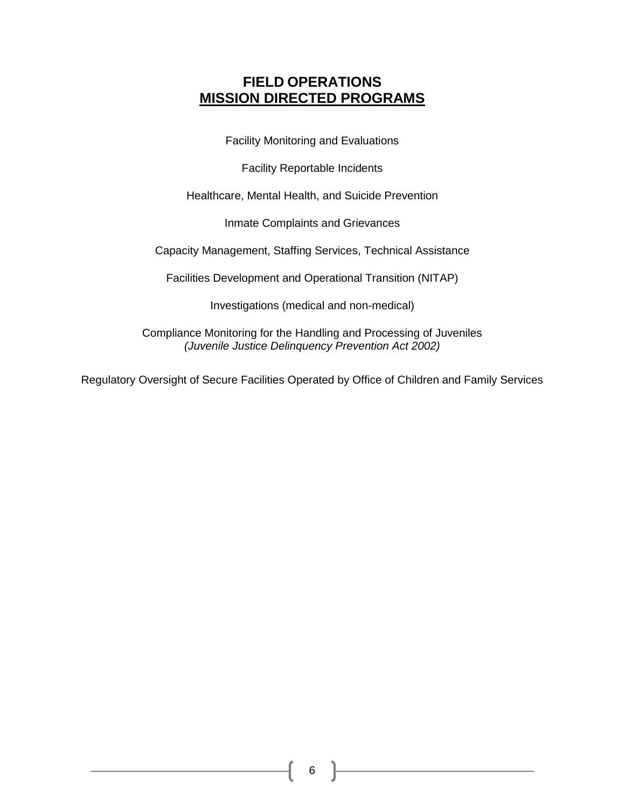## **FIELD OPERATIONS MISSION DIRECTED PROGRAMS**

Facility Monitoring and Evaluations

Facility Reportable Incidents

Healthcare, Mental Health, and Suicide Prevention

Inmate Complaints and Grievances

Capacity Management, Staffing Services, Technical Assistance

Facilities Development and Operational Transition (NITAP)

Investigations (medical and non-medical)

Compliance Monitoring for the Handling and Processing of Juveniles *(Juvenile Justice Delinquency Prevention Act 2002)*

Regulatory Oversight of Secure Facilities Operated by Office of Children and Family Services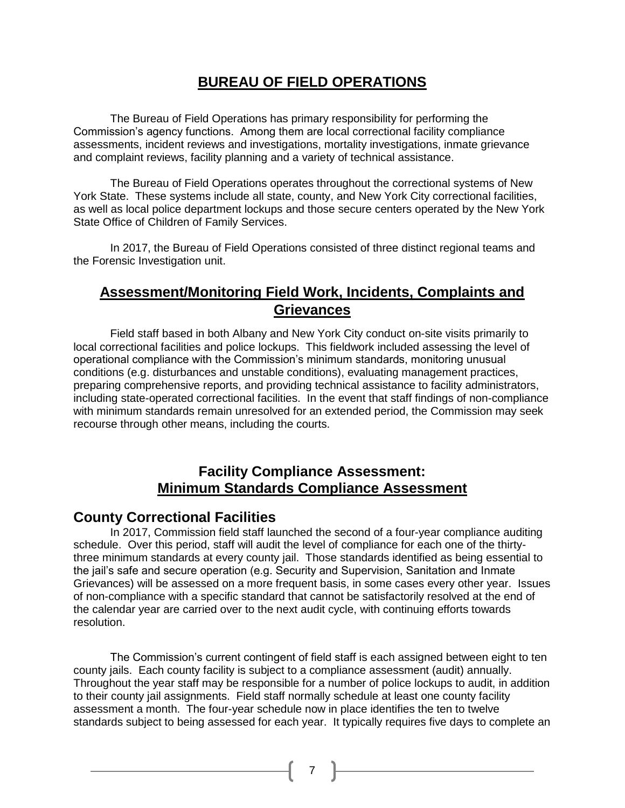## **BUREAU OF FIELD OPERATIONS**

The Bureau of Field Operations has primary responsibility for performing the Commission's agency functions. Among them are local correctional facility compliance assessments, incident reviews and investigations, mortality investigations, inmate grievance and complaint reviews, facility planning and a variety of technical assistance.

The Bureau of Field Operations operates throughout the correctional systems of New York State. These systems include all state, county, and New York City correctional facilities, as well as local police department lockups and those secure centers operated by the New York State Office of Children of Family Services.

In 2017, the Bureau of Field Operations consisted of three distinct regional teams and the Forensic Investigation unit.

## **Assessment/Monitoring Field Work, Incidents, Complaints and Grievances**

Field staff based in both Albany and New York City conduct on-site visits primarily to local correctional facilities and police lockups. This fieldwork included assessing the level of operational compliance with the Commission's minimum standards, monitoring unusual conditions (e.g. disturbances and unstable conditions), evaluating management practices, preparing comprehensive reports, and providing technical assistance to facility administrators, including state-operated correctional facilities. In the event that staff findings of non-compliance with minimum standards remain unresolved for an extended period, the Commission may seek recourse through other means, including the courts.

## **Facility Compliance Assessment: Minimum Standards Compliance Assessment**

### **County Correctional Facilities**

In 2017, Commission field staff launched the second of a four-year compliance auditing schedule. Over this period, staff will audit the level of compliance for each one of the thirtythree minimum standards at every county jail. Those standards identified as being essential to the jail's safe and secure operation (e.g. Security and Supervision, Sanitation and Inmate Grievances) will be assessed on a more frequent basis, in some cases every other year. Issues of non-compliance with a specific standard that cannot be satisfactorily resolved at the end of the calendar year are carried over to the next audit cycle, with continuing efforts towards resolution.

The Commission's current contingent of field staff is each assigned between eight to ten county jails. Each county facility is subject to a compliance assessment (audit) annually. Throughout the year staff may be responsible for a number of police lockups to audit, in addition to their county jail assignments. Field staff normally schedule at least one county facility assessment a month. The four-year schedule now in place identifies the ten to twelve standards subject to being assessed for each year. It typically requires five days to complete an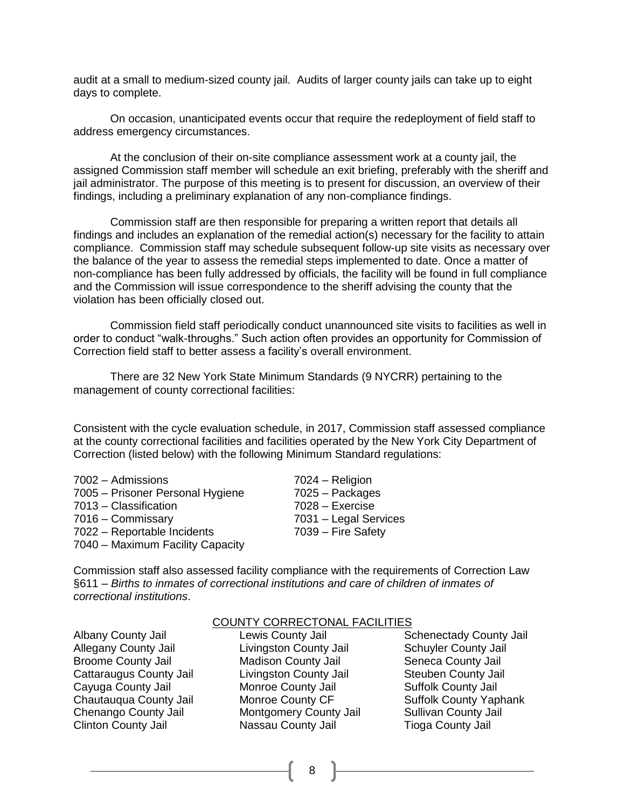audit at a small to medium-sized county jail. Audits of larger county jails can take up to eight days to complete.

On occasion, unanticipated events occur that require the redeployment of field staff to address emergency circumstances.

At the conclusion of their on-site compliance assessment work at a county jail, the assigned Commission staff member will schedule an exit briefing, preferably with the sheriff and jail administrator. The purpose of this meeting is to present for discussion, an overview of their findings, including a preliminary explanation of any non-compliance findings.

Commission staff are then responsible for preparing a written report that details all findings and includes an explanation of the remedial action(s) necessary for the facility to attain compliance. Commission staff may schedule subsequent follow-up site visits as necessary over the balance of the year to assess the remedial steps implemented to date. Once a matter of non-compliance has been fully addressed by officials, the facility will be found in full compliance and the Commission will issue correspondence to the sheriff advising the county that the violation has been officially closed out.

Commission field staff periodically conduct unannounced site visits to facilities as well in order to conduct "walk-throughs." Such action often provides an opportunity for Commission of Correction field staff to better assess a facility's overall environment.

There are 32 New York State Minimum Standards (9 NYCRR) pertaining to the management of county correctional facilities:

Consistent with the cycle evaluation schedule, in 2017, Commission staff assessed compliance at the county correctional facilities and facilities operated by the New York City Department of Correction (listed below) with the following Minimum Standard regulations:

| 7002 - Admissions                | 7024 - Religion       |
|----------------------------------|-----------------------|
| 7005 – Prisoner Personal Hygiene | 7025 - Packages       |
| 7013 - Classification            | $7028 - Exercise$     |
| 7016 - Commissary                | 7031 - Legal Services |
| 7022 - Reportable Incidents      | 7039 - Fire Safety    |
| 7040 - Maximum Facility Capacity |                       |

Commission staff also assessed facility compliance with the requirements of Correction Law §611 – *Births to inmates of correctional institutions and care of children of inmates of correctional institutions*.

Allegany County Jail Livingston County Jail Schuyler County Jail Broome County Jail **Madison County Jail Seneca County Jail** Seneca County Jail Cattaraugus County Jail Livingston County Jail Steuben County Jail Cayuga County Jail Monroe County Jail Suffolk County Jail Chenango County Jail Montgomery County Jail Sullivan County Jail Clinton County Jail Nassau County Jail Tioga County Jail

#### COUNTY CORRECTONAL FACILITIES

8

Albany County Jail Lewis County Jail Schenectady County Jail Chautauqua County Jail Monroe County CF Suffolk County Yaphank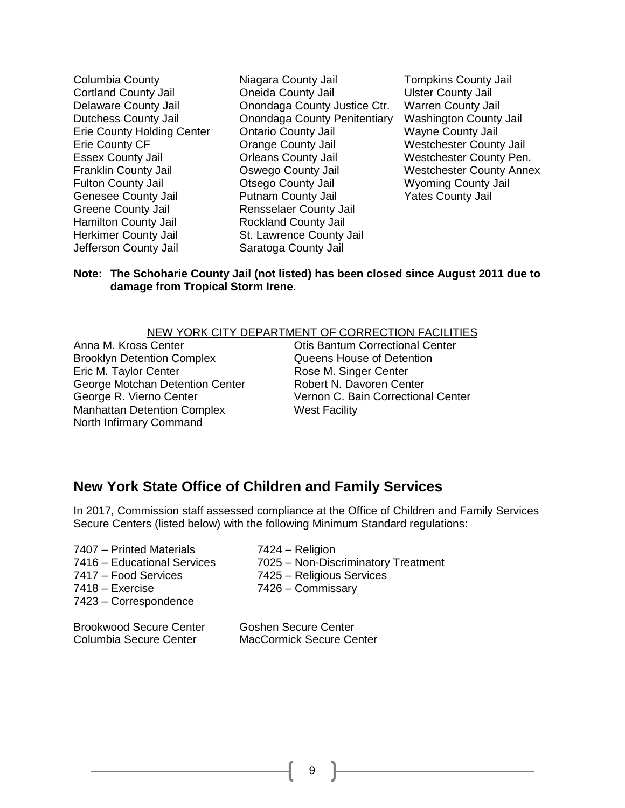Greene County Jail Rensselaer County Jail Hamilton County Jail **Rockland County Jail** Herkimer County Jail St. Lawrence County Jail Jefferson County Jail Saratoga County Jail

Columbia County Niagara County Jail Tompkins County Jail Cortland County Jail Oneida County Jail Ulster County Jail Delaware County Jail Onondaga County Justice Ctr. Warren County Jail Dutchess County Jail Onondaga County Penitentiary Washington County Jail Erie County Holding Center Ontario County Jail Wayne County Jail Erie County CF Orange County Jail Westchester County Jail Essex County Jail **Criticians County Jail** Westchester County Pen. Franklin County Jail Oswego County Jail Westchester County Annex Fulton County Jail Otsego County Jail Wyoming County Jail Genesee County Jail **Putnam County Jail Putnam County Jail** Yates County Jail

#### **Note: The Schoharie County Jail (not listed) has been closed since August 2011 due to damage from Tropical Storm Irene.**

#### NEW YORK CITY DEPARTMENT OF CORRECTION FACILITIES

Brooklyn Detention Complex Queens House of Detention Eric M. Taylor Center **Rose M. Singer Center** George Motchan Detention Center Robert N. Davoren Center Manhattan Detention Complex West Facility North Infirmary Command

Anna M. Kross Center Otis Bantum Correctional Center George R. Vierno Center **Vernon C. Bain Correctional Center** 

### **New York State Office of Children and Family Services**

In 2017, Commission staff assessed compliance at the Office of Children and Family Services Secure Centers (listed below) with the following Minimum Standard regulations:

| 7407 - Printed Materials<br>7416 - Educational Services | 7424 – Religion<br>7025 - Non-Discriminatory Treatment |
|---------------------------------------------------------|--------------------------------------------------------|
| 7417 - Food Services                                    | 7425 - Religious Services                              |
| 7418 - Exercise<br>7423 – Correspondence                | 7426 - Commissary                                      |
| <b>Brookwood Secure Center</b>                          | <b>Goshen Secure Center</b>                            |

Columbia Secure Center MacCormick Secure Center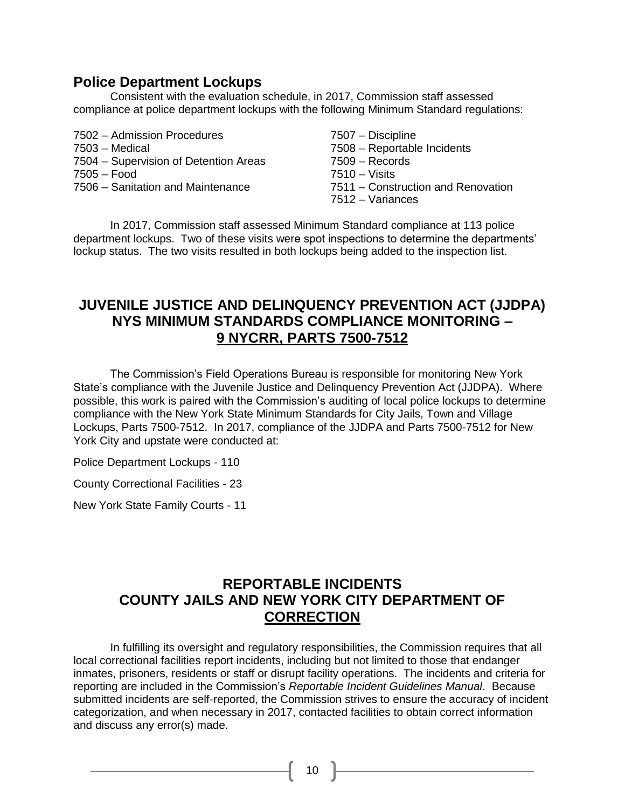### **Police Department Lockups**

Consistent with the evaluation schedule, in 2017, Commission staff assessed compliance at police department lockups with the following Minimum Standard regulations:

- 7502 Admission Procedures 7507 Discipline
- 
- 7504 Supervision of Detention Areas 7509 Records
- 7505 Food 7510 Visits
- 7506 Sanitation and Maintenance 7511 Construction and Renovation
- 
- 7503 Medical 7508 Reportable Incidents
	-
	-
	-
	- 7512 Variances

In 2017, Commission staff assessed Minimum Standard compliance at 113 police department lockups. Two of these visits were spot inspections to determine the departments' lockup status. The two visits resulted in both lockups being added to the inspection list.

## **JUVENILE JUSTICE AND DELINQUENCY PREVENTION ACT (JJDPA) NYS MINIMUM STANDARDS COMPLIANCE MONITORING – 9 NYCRR, PARTS 7500-7512**

The Commission's Field Operations Bureau is responsible for monitoring New York State's compliance with the Juvenile Justice and Delinquency Prevention Act (JJDPA). Where possible, this work is paired with the Commission's auditing of local police lockups to determine compliance with the New York State Minimum Standards for City Jails, Town and Village Lockups, Parts 7500-7512. In 2017, compliance of the JJDPA and Parts 7500-7512 for New York City and upstate were conducted at:

Police Department Lockups - 110

County Correctional Facilities - 23

New York State Family Courts - 11

## **REPORTABLE INCIDENTS COUNTY JAILS AND NEW YORK CITY DEPARTMENT OF CORRECTION**

In fulfilling its oversight and regulatory responsibilities, the Commission requires that all local correctional facilities report incidents, including but not limited to those that endanger inmates, prisoners, residents or staff or disrupt facility operations. The incidents and criteria for reporting are included in the Commission's *Reportable Incident Guidelines Manual*. Because submitted incidents are self-reported, the Commission strives to ensure the accuracy of incident categorization, and when necessary in 2017, contacted facilities to obtain correct information and discuss any error(s) made.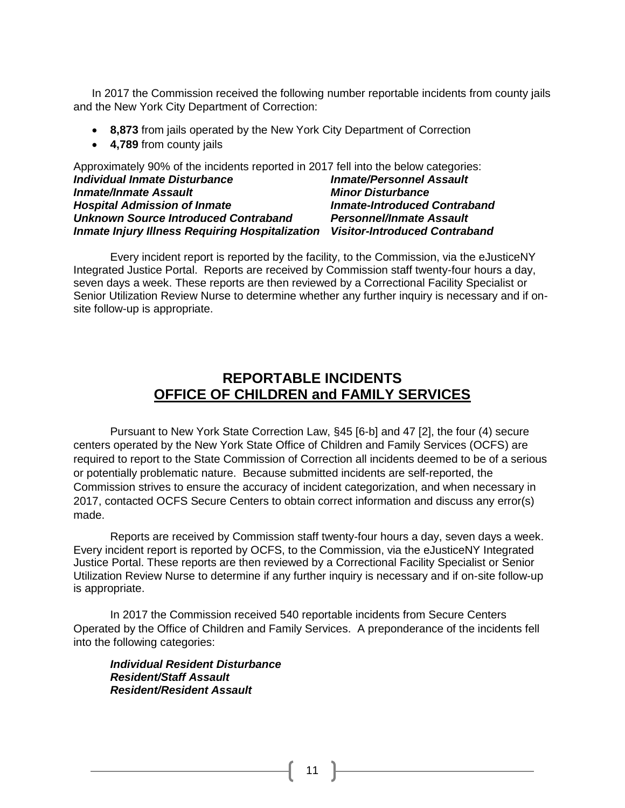In 2017 the Commission received the following number reportable incidents from county jails and the New York City Department of Correction:

- **8,873** from jails operated by the New York City Department of Correction
- **4,789** from county jails

| Approximately 90% of the incidents reported in 2017 fell into the below categories: |                                      |
|-------------------------------------------------------------------------------------|--------------------------------------|
| <b>Individual Inmate Disturbance</b>                                                | <b>Inmate/Personnel Assault</b>      |
| <b>Inmate/Inmate Assault</b>                                                        | <b>Minor Disturbance</b>             |
| <b>Hospital Admission of Inmate</b>                                                 | <b>Inmate-Introduced Contraband</b>  |
| <b>Unknown Source Introduced Contraband</b>                                         | <b>Personnel/Inmate Assault</b>      |
| <b>Inmate Injury Illness Requiring Hospitalization</b>                              | <b>Visitor-Introduced Contraband</b> |

Every incident report is reported by the facility, to the Commission, via the eJusticeNY Integrated Justice Portal. Reports are received by Commission staff twenty-four hours a day, seven days a week. These reports are then reviewed by a Correctional Facility Specialist or Senior Utilization Review Nurse to determine whether any further inquiry is necessary and if onsite follow-up is appropriate.

### **REPORTABLE INCIDENTS OFFICE OF CHILDREN and FAMILY SERVICES**

Pursuant to New York State Correction Law, §45 [6-b] and 47 [2], the four (4) secure centers operated by the New York State Office of Children and Family Services (OCFS) are required to report to the State Commission of Correction all incidents deemed to be of a serious or potentially problematic nature. Because submitted incidents are self-reported, the Commission strives to ensure the accuracy of incident categorization, and when necessary in 2017, contacted OCFS Secure Centers to obtain correct information and discuss any error(s) made.

Reports are received by Commission staff twenty-four hours a day, seven days a week. Every incident report is reported by OCFS, to the Commission, via the eJusticeNY Integrated Justice Portal. These reports are then reviewed by a Correctional Facility Specialist or Senior Utilization Review Nurse to determine if any further inquiry is necessary and if on-site follow-up is appropriate.

In 2017 the Commission received 540 reportable incidents from Secure Centers Operated by the Office of Children and Family Services. A preponderance of the incidents fell into the following categories:

*Individual Resident Disturbance Resident/Staff Assault Resident/Resident Assault*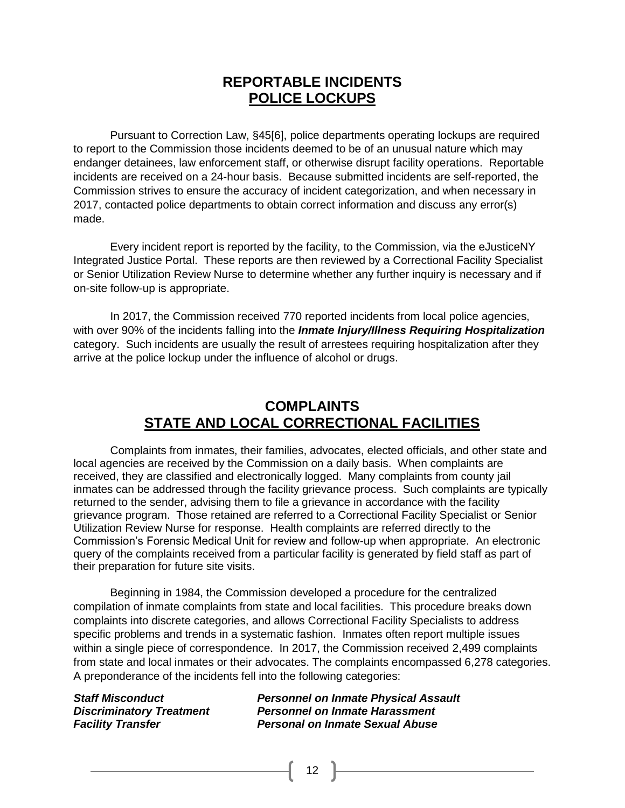## **REPORTABLE INCIDENTS POLICE LOCKUPS**

Pursuant to Correction Law, §45[6], police departments operating lockups are required to report to the Commission those incidents deemed to be of an unusual nature which may endanger detainees, law enforcement staff, or otherwise disrupt facility operations. Reportable incidents are received on a 24-hour basis. Because submitted incidents are self-reported, the Commission strives to ensure the accuracy of incident categorization, and when necessary in 2017, contacted police departments to obtain correct information and discuss any error(s) made.

Every incident report is reported by the facility, to the Commission, via the eJusticeNY Integrated Justice Portal. These reports are then reviewed by a Correctional Facility Specialist or Senior Utilization Review Nurse to determine whether any further inquiry is necessary and if on-site follow-up is appropriate.

In 2017, the Commission received 770 reported incidents from local police agencies, with over 90% of the incidents falling into the *Inmate Injury/Illness Requiring Hospitalization* category. Such incidents are usually the result of arrestees requiring hospitalization after they arrive at the police lockup under the influence of alcohol or drugs.

## **COMPLAINTS STATE AND LOCAL CORRECTIONAL FACILITIES**

Complaints from inmates, their families, advocates, elected officials, and other state and local agencies are received by the Commission on a daily basis. When complaints are received, they are classified and electronically logged. Many complaints from county jail inmates can be addressed through the facility grievance process. Such complaints are typically returned to the sender, advising them to file a grievance in accordance with the facility grievance program. Those retained are referred to a Correctional Facility Specialist or Senior Utilization Review Nurse for response. Health complaints are referred directly to the Commission's Forensic Medical Unit for review and follow-up when appropriate. An electronic query of the complaints received from a particular facility is generated by field staff as part of their preparation for future site visits.

Beginning in 1984, the Commission developed a procedure for the centralized compilation of inmate complaints from state and local facilities. This procedure breaks down complaints into discrete categories, and allows Correctional Facility Specialists to address specific problems and trends in a systematic fashion. Inmates often report multiple issues within a single piece of correspondence. In 2017, the Commission received 2,499 complaints from state and local inmates or their advocates. The complaints encompassed 6,278 categories. A preponderance of the incidents fell into the following categories:

12

*Staff Misconduct Personnel on Inmate Physical Assault* **Personnel on Inmate Harassment** *Facility Transfer Personal on Inmate Sexual Abuse*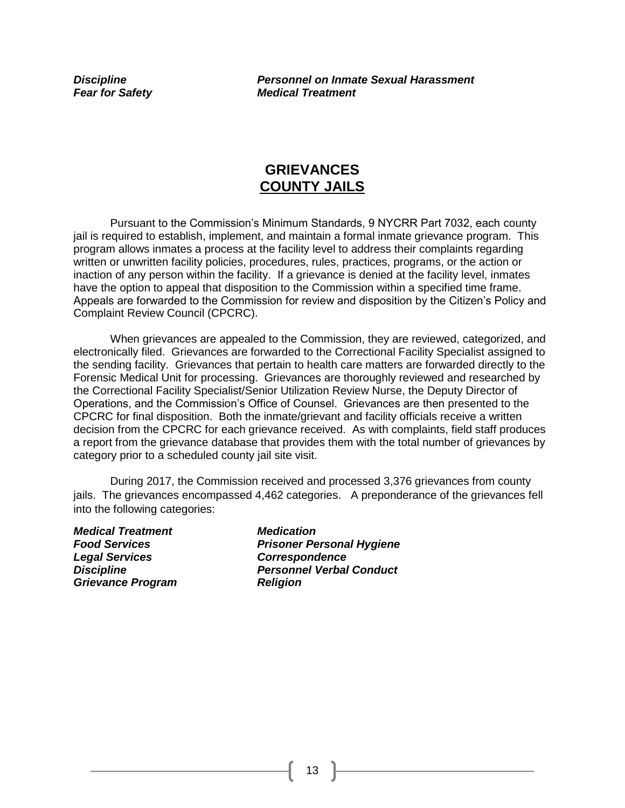*Discipline Personnel on Inmate Sexual Harassment Fear for Safety Medical Treatment*

### **GRIEVANCES COUNTY JAILS**

Pursuant to the Commission's Minimum Standards, 9 NYCRR Part 7032, each county jail is required to establish, implement, and maintain a formal inmate grievance program. This program allows inmates a process at the facility level to address their complaints regarding written or unwritten facility policies, procedures, rules, practices, programs, or the action or inaction of any person within the facility. If a grievance is denied at the facility level, inmates have the option to appeal that disposition to the Commission within a specified time frame. Appeals are forwarded to the Commission for review and disposition by the Citizen's Policy and Complaint Review Council (CPCRC).

When grievances are appealed to the Commission, they are reviewed, categorized, and electronically filed. Grievances are forwarded to the Correctional Facility Specialist assigned to the sending facility. Grievances that pertain to health care matters are forwarded directly to the Forensic Medical Unit for processing. Grievances are thoroughly reviewed and researched by the Correctional Facility Specialist/Senior Utilization Review Nurse, the Deputy Director of Operations, and the Commission's Office of Counsel. Grievances are then presented to the CPCRC for final disposition. Both the inmate/grievant and facility officials receive a written decision from the CPCRC for each grievance received. As with complaints, field staff produces a report from the grievance database that provides them with the total number of grievances by category prior to a scheduled county jail site visit.

During 2017, the Commission received and processed 3,376 grievances from county jails. The grievances encompassed 4,462 categories. A preponderance of the grievances fell into the following categories:

*Medical Treatment Medication Food Services Prisoner Personal Hygiene Legal Services Correspondence Discipline Personnel Verbal Conduct Grievance Program Religion*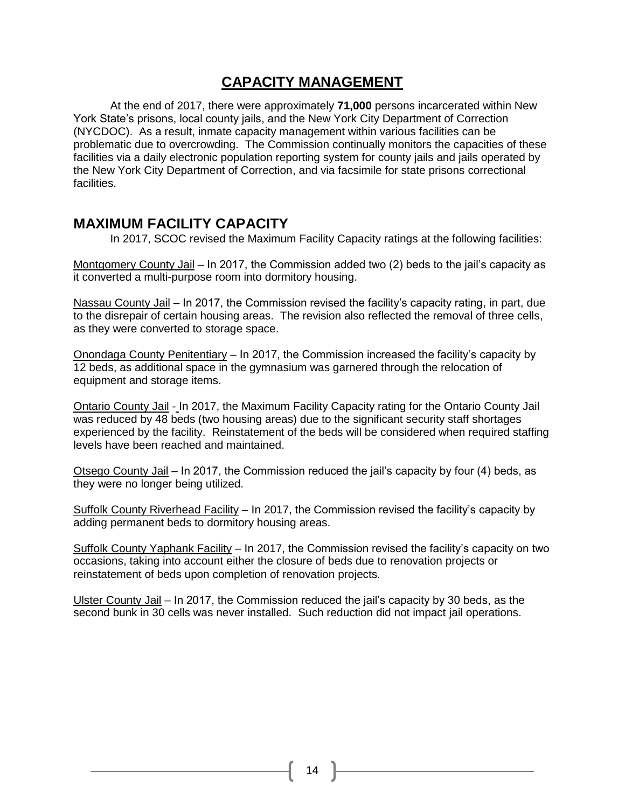## **CAPACITY MANAGEMENT**

At the end of 2017, there were approximately **71,000** persons incarcerated within New York State's prisons, local county jails, and the New York City Department of Correction (NYCDOC). As a result, inmate capacity management within various facilities can be problematic due to overcrowding. The Commission continually monitors the capacities of these facilities via a daily electronic population reporting system for county jails and jails operated by the New York City Department of Correction, and via facsimile for state prisons correctional facilities.

### **MAXIMUM FACILITY CAPACITY**

In 2017, SCOC revised the Maximum Facility Capacity ratings at the following facilities:

Montgomery County Jail – In 2017, the Commission added two (2) beds to the jail's capacity as it converted a multi-purpose room into dormitory housing.

Nassau County Jail – In 2017, the Commission revised the facility's capacity rating, in part, due to the disrepair of certain housing areas. The revision also reflected the removal of three cells, as they were converted to storage space.

Onondaga County Penitentiary – In 2017, the Commission increased the facility's capacity by 12 beds, as additional space in the gymnasium was garnered through the relocation of equipment and storage items.

Ontario County Jail - In 2017, the Maximum Facility Capacity rating for the Ontario County Jail was reduced by 48 beds (two housing areas) due to the significant security staff shortages experienced by the facility. Reinstatement of the beds will be considered when required staffing levels have been reached and maintained.

Otsego County Jail – In 2017, the Commission reduced the jail's capacity by four (4) beds, as they were no longer being utilized.

Suffolk County Riverhead Facility – In 2017, the Commission revised the facility's capacity by adding permanent beds to dormitory housing areas.

Suffolk County Yaphank Facility – In 2017, the Commission revised the facility's capacity on two occasions, taking into account either the closure of beds due to renovation projects or reinstatement of beds upon completion of renovation projects.

Ulster County Jail – In 2017, the Commission reduced the jail's capacity by 30 beds, as the second bunk in 30 cells was never installed. Such reduction did not impact jail operations.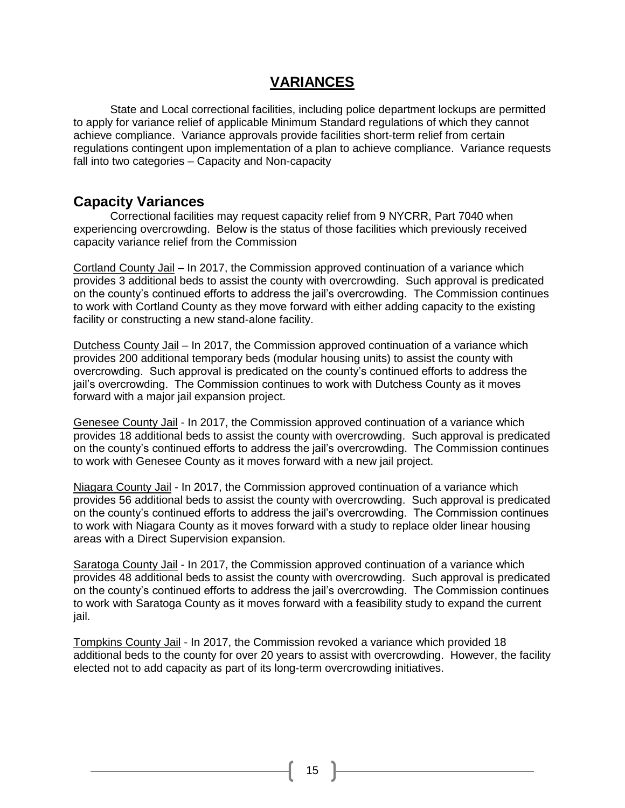### **VARIANCES**

State and Local correctional facilities, including police department lockups are permitted to apply for variance relief of applicable Minimum Standard regulations of which they cannot achieve compliance. Variance approvals provide facilities short-term relief from certain regulations contingent upon implementation of a plan to achieve compliance. Variance requests fall into two categories – Capacity and Non-capacity

### **Capacity Variances**

Correctional facilities may request capacity relief from 9 NYCRR, Part 7040 when experiencing overcrowding. Below is the status of those facilities which previously received capacity variance relief from the Commission

Cortland County Jail – In 2017, the Commission approved continuation of a variance which provides 3 additional beds to assist the county with overcrowding. Such approval is predicated on the county's continued efforts to address the jail's overcrowding. The Commission continues to work with Cortland County as they move forward with either adding capacity to the existing facility or constructing a new stand-alone facility.

Dutchess County Jail – In 2017, the Commission approved continuation of a variance which provides 200 additional temporary beds (modular housing units) to assist the county with overcrowding. Such approval is predicated on the county's continued efforts to address the jail's overcrowding. The Commission continues to work with Dutchess County as it moves forward with a major jail expansion project.

Genesee County Jail - In 2017, the Commission approved continuation of a variance which provides 18 additional beds to assist the county with overcrowding. Such approval is predicated on the county's continued efforts to address the jail's overcrowding. The Commission continues to work with Genesee County as it moves forward with a new jail project.

Niagara County Jail - In 2017, the Commission approved continuation of a variance which provides 56 additional beds to assist the county with overcrowding. Such approval is predicated on the county's continued efforts to address the jail's overcrowding. The Commission continues to work with Niagara County as it moves forward with a study to replace older linear housing areas with a Direct Supervision expansion.

Saratoga County Jail - In 2017, the Commission approved continuation of a variance which provides 48 additional beds to assist the county with overcrowding. Such approval is predicated on the county's continued efforts to address the jail's overcrowding. The Commission continues to work with Saratoga County as it moves forward with a feasibility study to expand the current jail.

Tompkins County Jail - In 2017, the Commission revoked a variance which provided 18 additional beds to the county for over 20 years to assist with overcrowding. However, the facility elected not to add capacity as part of its long-term overcrowding initiatives.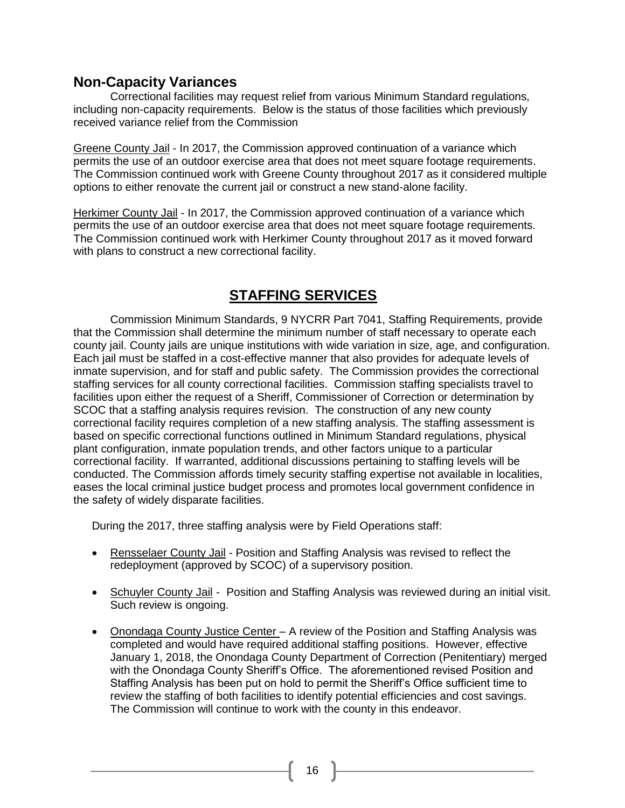### **Non-Capacity Variances**

Correctional facilities may request relief from various Minimum Standard regulations, including non-capacity requirements. Below is the status of those facilities which previously received variance relief from the Commission

Greene County Jail - In 2017, the Commission approved continuation of a variance which permits the use of an outdoor exercise area that does not meet square footage requirements. The Commission continued work with Greene County throughout 2017 as it considered multiple options to either renovate the current jail or construct a new stand-alone facility.

Herkimer County Jail - In 2017, the Commission approved continuation of a variance which permits the use of an outdoor exercise area that does not meet square footage requirements. The Commission continued work with Herkimer County throughout 2017 as it moved forward with plans to construct a new correctional facility.

## **STAFFING SERVICES**

Commission Minimum Standards, 9 NYCRR Part 7041, Staffing Requirements, provide that the Commission shall determine the minimum number of staff necessary to operate each county jail. County jails are unique institutions with wide variation in size, age, and configuration. Each jail must be staffed in a cost-effective manner that also provides for adequate levels of inmate supervision, and for staff and public safety. The Commission provides the correctional staffing services for all county correctional facilities. Commission staffing specialists travel to facilities upon either the request of a Sheriff, Commissioner of Correction or determination by SCOC that a staffing analysis requires revision. The construction of any new county correctional facility requires completion of a new staffing analysis. The staffing assessment is based on specific correctional functions outlined in Minimum Standard regulations, physical plant configuration, inmate population trends, and other factors unique to a particular correctional facility. If warranted, additional discussions pertaining to staffing levels will be conducted. The Commission affords timely security staffing expertise not available in localities, eases the local criminal justice budget process and promotes local government confidence in the safety of widely disparate facilities.

During the 2017, three staffing analysis were by Field Operations staff:

- Rensselaer County Jail Position and Staffing Analysis was revised to reflect the redeployment (approved by SCOC) of a supervisory position.
- Schuyler County Jail Position and Staffing Analysis was reviewed during an initial visit. Such review is ongoing.
- Onondaga County Justice Center A review of the Position and Staffing Analysis was completed and would have required additional staffing positions. However, effective January 1, 2018, the Onondaga County Department of Correction (Penitentiary) merged with the Onondaga County Sheriff's Office. The aforementioned revised Position and Staffing Analysis has been put on hold to permit the Sheriff's Office sufficient time to review the staffing of both facilities to identify potential efficiencies and cost savings. The Commission will continue to work with the county in this endeavor.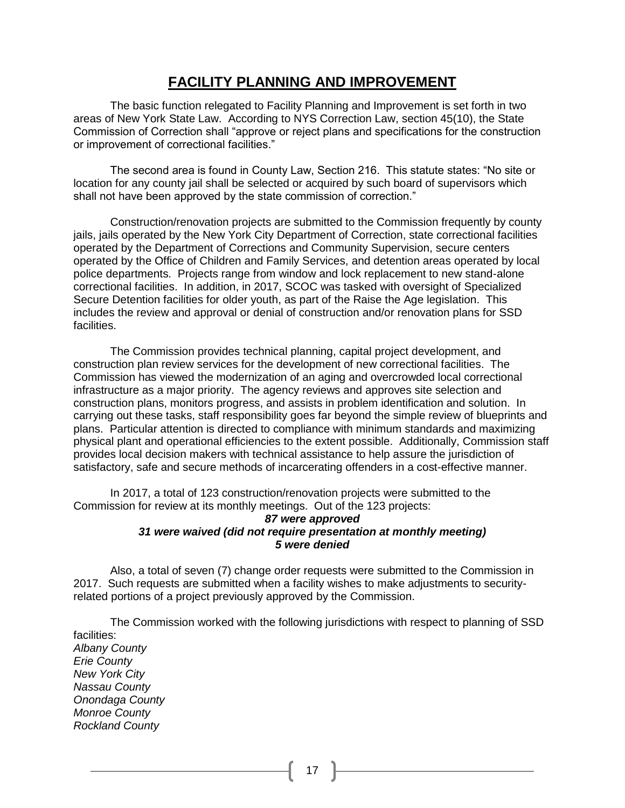### **FACILITY PLANNING AND IMPROVEMENT**

The basic function relegated to Facility Planning and Improvement is set forth in two areas of New York State Law. According to NYS Correction Law, section 45(10), the State Commission of Correction shall "approve or reject plans and specifications for the construction or improvement of correctional facilities."

The second area is found in County Law, Section 216. This statute states: "No site or location for any county jail shall be selected or acquired by such board of supervisors which shall not have been approved by the state commission of correction."

Construction/renovation projects are submitted to the Commission frequently by county jails, jails operated by the New York City Department of Correction, state correctional facilities operated by the Department of Corrections and Community Supervision, secure centers operated by the Office of Children and Family Services, and detention areas operated by local police departments. Projects range from window and lock replacement to new stand-alone correctional facilities. In addition, in 2017, SCOC was tasked with oversight of Specialized Secure Detention facilities for older youth, as part of the Raise the Age legislation. This includes the review and approval or denial of construction and/or renovation plans for SSD facilities.

The Commission provides technical planning, capital project development, and construction plan review services for the development of new correctional facilities. The Commission has viewed the modernization of an aging and overcrowded local correctional infrastructure as a major priority. The agency reviews and approves site selection and construction plans, monitors progress, and assists in problem identification and solution. In carrying out these tasks, staff responsibility goes far beyond the simple review of blueprints and plans. Particular attention is directed to compliance with minimum standards and maximizing physical plant and operational efficiencies to the extent possible. Additionally, Commission staff provides local decision makers with technical assistance to help assure the jurisdiction of satisfactory, safe and secure methods of incarcerating offenders in a cost-effective manner.

In 2017, a total of 123 construction/renovation projects were submitted to the Commission for review at its monthly meetings. Out of the 123 projects:

#### *87 were approved 31 were waived (did not require presentation at monthly meeting) 5 were denied*

Also, a total of seven (7) change order requests were submitted to the Commission in 2017. Such requests are submitted when a facility wishes to make adjustments to securityrelated portions of a project previously approved by the Commission.

The Commission worked with the following jurisdictions with respect to planning of SSD facilities: *Albany County Erie County New York City Nassau County Onondaga County Monroe County Rockland County*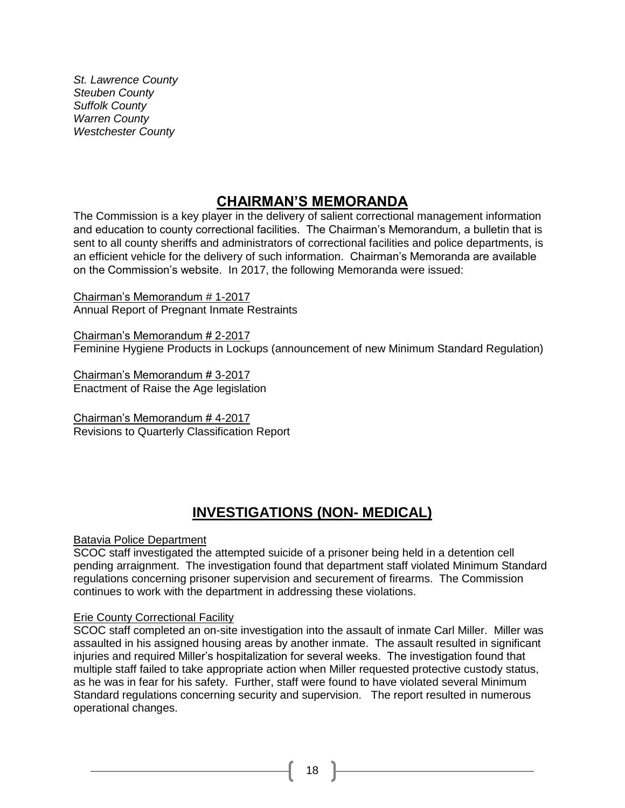*St. Lawrence County Steuben County Suffolk County Warren County Westchester County*

## **CHAIRMAN'S MEMORANDA**

The Commission is a key player in the delivery of salient correctional management information and education to county correctional facilities. The Chairman's Memorandum, a bulletin that is sent to all county sheriffs and administrators of correctional facilities and police departments, is an efficient vehicle for the delivery of such information. Chairman's Memoranda are available on the Commission's website. In 2017, the following Memoranda were issued:

Chairman's Memorandum # 1-2017 Annual Report of Pregnant Inmate Restraints

Chairman's Memorandum # 2-2017 Feminine Hygiene Products in Lockups (announcement of new Minimum Standard Regulation)

Chairman's Memorandum # 3-2017 Enactment of Raise the Age legislation

Chairman's Memorandum # 4-2017 Revisions to Quarterly Classification Report

# **INVESTIGATIONS (NON- MEDICAL)**

### Batavia Police Department

SCOC staff investigated the attempted suicide of a prisoner being held in a detention cell pending arraignment. The investigation found that department staff violated Minimum Standard regulations concerning prisoner supervision and securement of firearms. The Commission continues to work with the department in addressing these violations.

### **Erie County Correctional Facility**

SCOC staff completed an on-site investigation into the assault of inmate Carl Miller. Miller was assaulted in his assigned housing areas by another inmate. The assault resulted in significant injuries and required Miller's hospitalization for several weeks. The investigation found that multiple staff failed to take appropriate action when Miller requested protective custody status, as he was in fear for his safety. Further, staff were found to have violated several Minimum Standard regulations concerning security and supervision. The report resulted in numerous operational changes.

18 **F**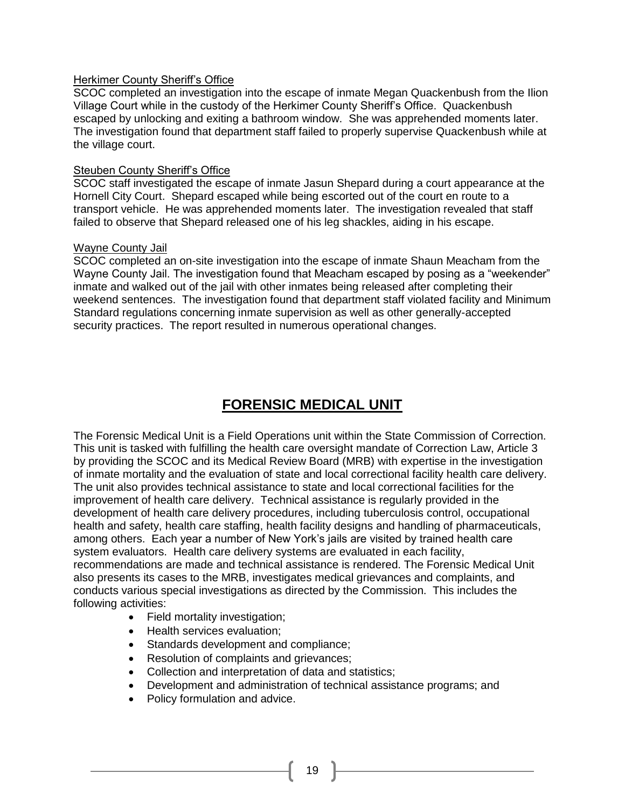#### Herkimer County Sheriff's Office

SCOC completed an investigation into the escape of inmate Megan Quackenbush from the Ilion Village Court while in the custody of the Herkimer County Sheriff's Office. Quackenbush escaped by unlocking and exiting a bathroom window. She was apprehended moments later. The investigation found that department staff failed to properly supervise Quackenbush while at the village court.

#### Steuben County Sheriff's Office

SCOC staff investigated the escape of inmate Jasun Shepard during a court appearance at the Hornell City Court. Shepard escaped while being escorted out of the court en route to a transport vehicle. He was apprehended moments later. The investigation revealed that staff failed to observe that Shepard released one of his leg shackles, aiding in his escape.

#### Wayne County Jail

SCOC completed an on-site investigation into the escape of inmate Shaun Meacham from the Wayne County Jail. The investigation found that Meacham escaped by posing as a "weekender" inmate and walked out of the jail with other inmates being released after completing their weekend sentences. The investigation found that department staff violated facility and Minimum Standard regulations concerning inmate supervision as well as other generally-accepted security practices. The report resulted in numerous operational changes.

# **FORENSIC MEDICAL UNIT**

The Forensic Medical Unit is a Field Operations unit within the State Commission of Correction. This unit is tasked with fulfilling the health care oversight mandate of Correction Law, Article 3 by providing the SCOC and its Medical Review Board (MRB) with expertise in the investigation of inmate mortality and the evaluation of state and local correctional facility health care delivery. The unit also provides technical assistance to state and local correctional facilities for the improvement of health care delivery. Technical assistance is regularly provided in the development of health care delivery procedures, including tuberculosis control, occupational health and safety, health care staffing, health facility designs and handling of pharmaceuticals, among others. Each year a number of New York's jails are visited by trained health care system evaluators. Health care delivery systems are evaluated in each facility, recommendations are made and technical assistance is rendered. The Forensic Medical Unit also presents its cases to the MRB, investigates medical grievances and complaints, and conducts various special investigations as directed by the Commission. This includes the following activities:

- Field mortality investigation;
- Health services evaluation;
- Standards development and compliance;
- Resolution of complaints and grievances;
- Collection and interpretation of data and statistics;
- Development and administration of technical assistance programs; and
- Policy formulation and advice.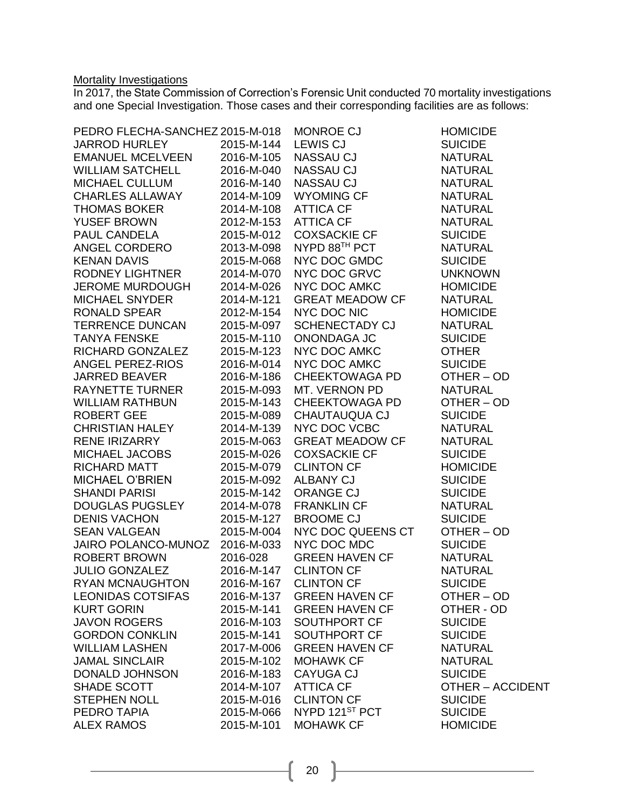#### **Mortality Investigations**

In 2017, the State Commission of Correction's Forensic Unit conducted 70 mortality investigations and one Special Investigation. Those cases and their corresponding facilities are as follows:

| PEDRO FLECHA-SANCHEZ 2015-M-018 |            | MONROE CJ                | <b>HOMICIDE</b>         |
|---------------------------------|------------|--------------------------|-------------------------|
| JARROD HURLEY                   | 2015-M-144 | <b>LEWIS CJ</b>          | <b>SUICIDE</b>          |
| <b>EMANUEL MCELVEEN</b>         | 2016-M-105 | NASSAU CJ                | <b>NATURAL</b>          |
| <b>WILLIAM SATCHELL</b>         | 2016-M-040 | <b>NASSAU CJ</b>         | <b>NATURAL</b>          |
| MICHAEL CULLUM                  | 2016-M-140 | NASSAU CJ                | <b>NATURAL</b>          |
| <b>CHARLES ALLAWAY</b>          | 2014-M-109 | WYOMING CF<br>ATTICA CF  | <b>NATURAL</b>          |
| <b>THOMAS BOKER</b>             | 2014-M-108 | ATTICA CF                | <b>NATURAL</b>          |
| YUSEF BROWN                     | 2012-M-153 | ATTICA CF                | <b>NATURAL</b>          |
| PAUL CANDELA                    | 2015-M-012 | <b>COXSACKIE CF</b>      | <b>SUICIDE</b>          |
| ANGEL CORDERO                   | 2013-M-098 | NYPD 88 <sup>™</sup> PCT | <b>NATURAL</b>          |
| <b>KENAN DAVIS</b>              | 2015-M-068 | NYC DOC GMDC             | <b>SUICIDE</b>          |
| RODNEY LIGHTNER                 | 2014-M-070 | NYC DOC GRVC             | <b>UNKNOWN</b>          |
| JEROME MURDOUGH                 | 2014-M-026 | NYC DOC AMKC             | <b>HOMICIDE</b>         |
| <b>MICHAEL SNYDER</b>           | 2014-M-121 | <b>GREAT MEADOW CF</b>   | <b>NATURAL</b>          |
| RONALD SPEAR                    | 2012-M-154 | NYC DOC NIC              | <b>HOMICIDE</b>         |
| <b>TERRENCE DUNCAN</b>          | 2015-M-097 | SCHENECTADY CJ           | <b>NATURAL</b>          |
| <b>TANYA FENSKE</b>             | 2015-M-110 | ONONDAGA JC              | <b>SUICIDE</b>          |
| RICHARD GONZALEZ                | 2015-M-123 | NYC DOC AMKC             | <b>OTHER</b>            |
| ANGEL PEREZ-RIOS                | 2016-M-014 | NYC DOC AMKC             | <b>SUICIDE</b>          |
| <b>JARRED BEAVER</b>            | 2016-M-186 | <b>CHEEKTOWAGA PD</b>    | OTHER-OD                |
| RAYNETTE TURNER                 | 2015-M-093 | MT. VERNON PD            | <b>NATURAL</b>          |
| <b>WILLIAM RATHBUN</b>          | 2015-M-143 | <b>CHEEKTOWAGA PD</b>    | OTHER-OD                |
| <b>ROBERT GEE</b>               | 2015-M-089 | CHAUTAUQUA CJ            | <b>SUICIDE</b>          |
| <b>CHRISTIAN HALEY</b>          | 2014-M-139 | NYC DOC VCBC             | <b>NATURAL</b>          |
| RENE IRIZARRY                   | 2015-M-063 | <b>GREAT MEADOW CF</b>   | <b>NATURAL</b>          |
| MICHAEL JACOBS                  | 2015-M-026 | <b>COXSACKIE CF</b>      | <b>SUICIDE</b>          |
| RICHARD MATT                    | 2015-M-079 | CLINTON CF<br>ALBANY CJ  | <b>HOMICIDE</b>         |
| MICHAEL O'BRIEN                 | 2015-M-092 |                          | <b>SUICIDE</b>          |
| SHANDI PARISI                   | 2015-M-142 | ORANGE CJ                | <b>SUICIDE</b>          |
| <b>DOUGLAS PUGSLEY</b>          | 2014-M-078 | <b>FRANKLIN CF</b>       | <b>NATURAL</b>          |
| <b>DENIS VACHON</b>             | 2015-M-127 | BROOME CJ                | <b>SUICIDE</b>          |
| SEAN VALGEAN                    | 2015-M-004 | NYC DOC QUEENS CT        | OTHER-OD                |
| JAIRO POLANCO-MUNOZ 2016-M-033  |            | NYC DOC MDC              | <b>SUICIDE</b>          |
| <b>ROBERT BROWN</b>             | 2016-028   | <b>GREEN HAVEN CF</b>    | <b>NATURAL</b>          |
| <b>JULIO GONZALEZ</b>           | 2016-M-147 | <b>CLINTON CF</b>        | <b>NATURAL</b>          |
| RYAN MCNAUGHTON                 |            | 2016-M-167 CLINTON CF    | <b>SUICIDE</b>          |
| <b>LEONIDAS COTSIFAS</b>        | 2016-M-137 | <b>GREEN HAVEN CF</b>    | OTHER-OD                |
| <b>KURT GORIN</b>               | 2015-M-141 | <b>GREEN HAVEN CF</b>    | OTHER - OD              |
| <b>JAVON ROGERS</b>             | 2016-M-103 | SOUTHPORT CF             | <b>SUICIDE</b>          |
| <b>GORDON CONKLIN</b>           | 2015-M-141 | SOUTHPORT CF             | <b>SUICIDE</b>          |
| <b>WILLIAM LASHEN</b>           | 2017-M-006 | <b>GREEN HAVEN CF</b>    | <b>NATURAL</b>          |
| <b>JAMAL SINCLAIR</b>           | 2015-M-102 | <b>MOHAWK CF</b>         | <b>NATURAL</b>          |
| <b>DONALD JOHNSON</b>           | 2016-M-183 | <b>CAYUGA CJ</b>         | <b>SUICIDE</b>          |
| SHADE SCOTT                     | 2014-M-107 | <b>ATTICA CF</b>         | <b>OTHER - ACCIDENT</b> |
| <b>STEPHEN NOLL</b>             | 2015-M-016 | <b>CLINTON CF</b>        | <b>SUICIDE</b>          |
| PEDRO TAPIA                     | 2015-M-066 | NYPD 121ST PCT           | <b>SUICIDE</b>          |
| <b>ALEX RAMOS</b>               | 2015-M-101 | <b>MOHAWK CF</b>         | <b>HOMICIDE</b>         |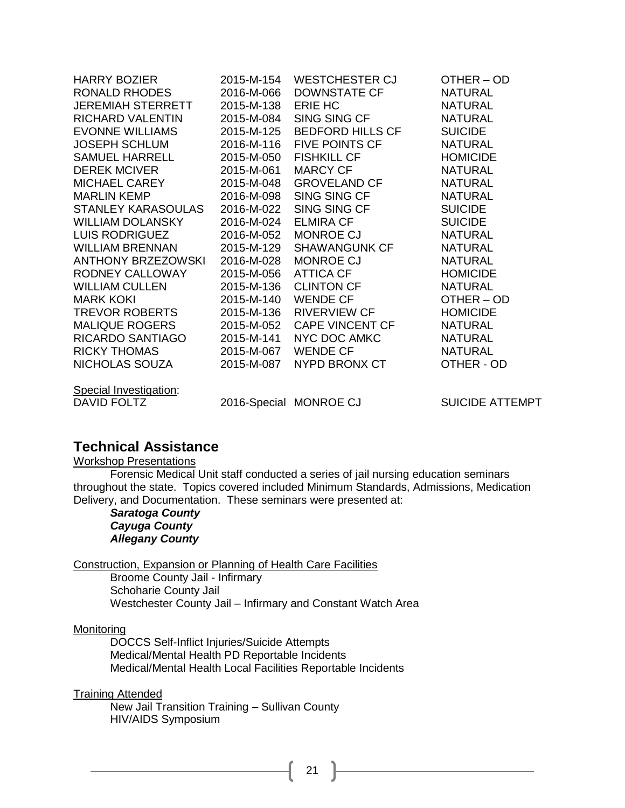| HARRY BOZIER              | 2015-M-154 | WESTCHESTER CJ                                          | OTHER-OD        |
|---------------------------|------------|---------------------------------------------------------|-----------------|
| RONALD RHODES             | 2016-M-066 | DOWNSTATE CF                                            | <b>NATURAL</b>  |
| JEREMIAH STERRETT         | 2015-M-138 | ERIE HC                                                 | <b>NATURAL</b>  |
| RICHARD VALENTIN          | 2015-M-084 | SING SING CF                                            | <b>NATURAL</b>  |
| <b>EVONNE WILLIAMS</b>    | 2015-M-125 | BEDFORD HILLS CF                                        | <b>SUICIDE</b>  |
| JOSEPH SCHLUM             | 2016-M-116 | FIVE POINTS CF                                          | <b>NATURAL</b>  |
| SAMUEL HARRELL            | 2015-M-050 | FISHKILL CF<br>MARCY CF<br>GROVELAND CF<br>SING SING CF | <b>HOMICIDE</b> |
| <b>DEREK MCIVER</b>       | 2015-M-061 |                                                         | <b>NATURAL</b>  |
| MICHAEL CAREY             | 2015-M-048 |                                                         | <b>NATURAL</b>  |
| <b>MARLIN KEMP</b>        | 2016-M-098 |                                                         | <b>NATURAL</b>  |
| STANLEY KARASOULAS        | 2016-M-022 | SING SING CF<br>ELMIRA CF                               | <b>SUICIDE</b>  |
| <b>WILLIAM DOLANSKY</b>   | 2016-M-024 |                                                         | <b>SUICIDE</b>  |
| LUIS RODRIGUEZ            | 2016-M-052 | MONROE CJ                                               | <b>NATURAL</b>  |
| WILLIAM BRENNAN           | 2015-M-129 | SHAWANGUNK CF                                           | <b>NATURAL</b>  |
| <b>ANTHONY BRZEZOWSKI</b> | 2016-M-028 | MONROE CJ                                               | <b>NATURAL</b>  |
| RODNEY CALLOWAY           | 2015-M-056 | ATTICA CF                                               | <b>HOMICIDE</b> |
| <b>WILLIAM CULLEN</b>     | 2015-M-136 | CLINTON CF                                              | <b>NATURAL</b>  |
| <b>MARK KOKI</b>          | 2015-M-140 | WENDE CF                                                | OTHER-OD        |
| <b>TREVOR ROBERTS</b>     | 2015-M-136 | RIVERVIEW CF                                            | <b>HOMICIDE</b> |
| <b>MALIQUE ROGERS</b>     | 2015-M-052 | CAPE VINCENT CF                                         | <b>NATURAL</b>  |
| RICARDO SANTIAGO          | 2015-M-141 | NYC DOC AMKC                                            | <b>NATURAL</b>  |
| <b>RICKY THOMAS</b>       | 2015-M-067 | WENDE CF                                                | <b>NATURAL</b>  |
| NICHOLAS SOUZA            | 2015-M-087 | NYPD BRONX CT                                           | OTHER - OD      |
| Special Investigation:    |            |                                                         |                 |
| DAVID FOLTZ               |            | 2016-Special MONROE CJ SUICIDE ATTEMPT                  |                 |

### **Technical Assistance**

#### Workshop Presentations

Forensic Medical Unit staff conducted a series of jail nursing education seminars throughout the state. Topics covered included Minimum Standards, Admissions, Medication Delivery, and Documentation. These seminars were presented at:

*Saratoga County Cayuga County Allegany County*

Construction, Expansion or Planning of Health Care Facilities

Broome County Jail - Infirmary Schoharie County Jail Westchester County Jail – Infirmary and Constant Watch Area

#### **Monitoring**

DOCCS Self-Inflict Injuries/Suicide Attempts Medical/Mental Health PD Reportable Incidents Medical/Mental Health Local Facilities Reportable Incidents

Training Attended

New Jail Transition Training – Sullivan County HIV/AIDS Symposium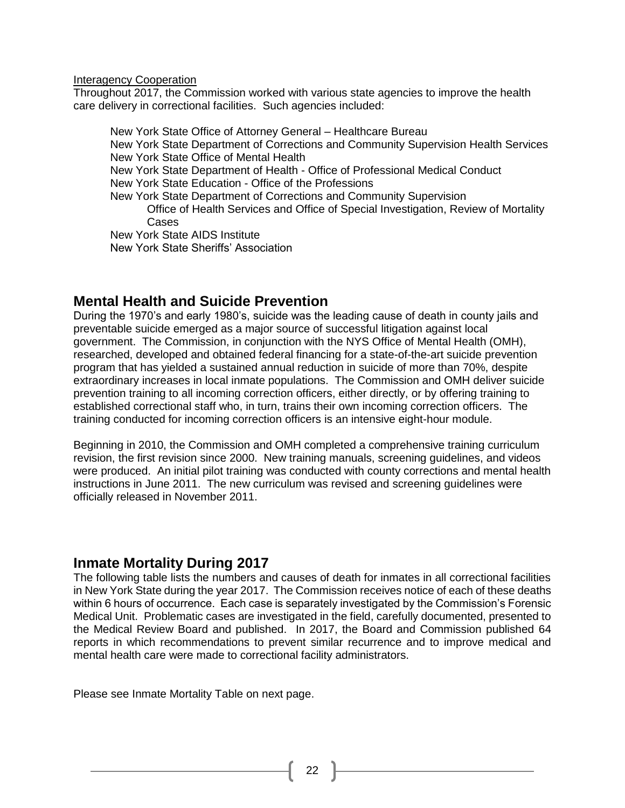Interagency Cooperation

Throughout 2017, the Commission worked with various state agencies to improve the health care delivery in correctional facilities. Such agencies included:

New York State Office of Attorney General – Healthcare Bureau New York State Department of Corrections and Community Supervision Health Services New York State Office of Mental Health New York State Department of Health - Office of Professional Medical Conduct New York State Education - Office of the Professions New York State Department of Corrections and Community Supervision Office of Health Services and Office of Special Investigation, Review of Mortality Cases New York State AIDS Institute New York State Sheriffs' Association

## **Mental Health and Suicide Prevention**

During the 1970's and early 1980's, suicide was the leading cause of death in county jails and preventable suicide emerged as a major source of successful litigation against local government. The Commission, in conjunction with the NYS Office of Mental Health (OMH), researched, developed and obtained federal financing for a state-of-the-art suicide prevention program that has yielded a sustained annual reduction in suicide of more than 70%, despite extraordinary increases in local inmate populations. The Commission and OMH deliver suicide prevention training to all incoming correction officers, either directly, or by offering training to established correctional staff who, in turn, trains their own incoming correction officers. The training conducted for incoming correction officers is an intensive eight-hour module.

Beginning in 2010, the Commission and OMH completed a comprehensive training curriculum revision, the first revision since 2000. New training manuals, screening guidelines, and videos were produced. An initial pilot training was conducted with county corrections and mental health instructions in June 2011. The new curriculum was revised and screening guidelines were officially released in November 2011.

### **Inmate Mortality During 2017**

The following table lists the numbers and causes of death for inmates in all correctional facilities in New York State during the year 2017. The Commission receives notice of each of these deaths within 6 hours of occurrence. Each case is separately investigated by the Commission's Forensic Medical Unit. Problematic cases are investigated in the field, carefully documented, presented to the Medical Review Board and published. In 2017, the Board and Commission published 64 reports in which recommendations to prevent similar recurrence and to improve medical and mental health care were made to correctional facility administrators.

Please see Inmate Mortality Table on next page.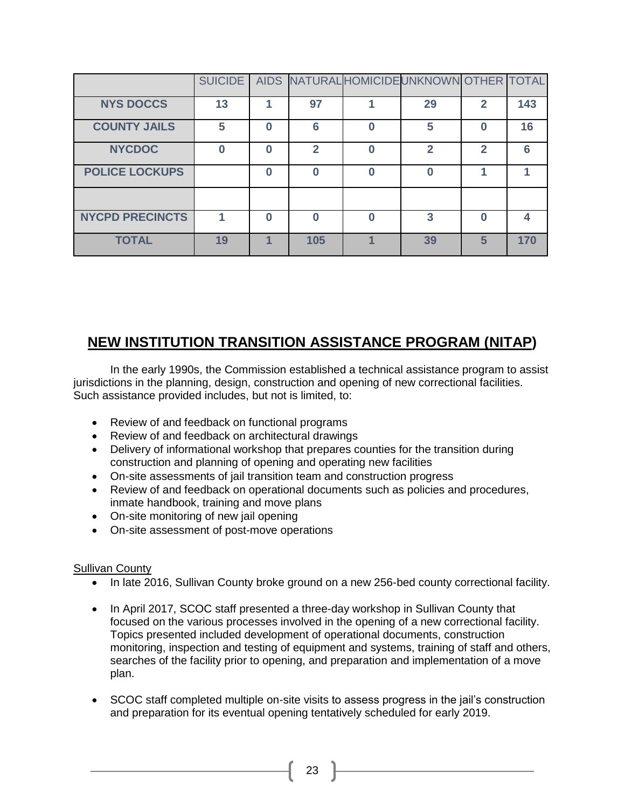|                        |    |     | SUICIDE   AIDS   NATURAL HOMICIDE UNKNOWN OTHER   TOTAL |   |     |
|------------------------|----|-----|---------------------------------------------------------|---|-----|
| <b>NYS DOCCS</b>       | 13 | 97  | 29                                                      | 2 | 143 |
| <b>COUNTY JAILS</b>    | 5  | 6   | 5                                                       |   | 16  |
| <b>NYCDOC</b>          |    | 2   | -                                                       | 2 | 6   |
| <b>POLICE LOCKUPS</b>  |    | በ   |                                                         |   |     |
|                        |    |     |                                                         |   |     |
| <b>NYCPD PRECINCTS</b> |    | Λ   | 3                                                       |   |     |
| <b>TOTAL</b>           | 19 | 105 | 39                                                      | 5 | 170 |

# **NEW INSTITUTION TRANSITION ASSISTANCE PROGRAM (NITAP)**

In the early 1990s, the Commission established a technical assistance program to assist jurisdictions in the planning, design, construction and opening of new correctional facilities. Such assistance provided includes, but not is limited, to:

- Review of and feedback on functional programs
- Review of and feedback on architectural drawings
- Delivery of informational workshop that prepares counties for the transition during construction and planning of opening and operating new facilities
- On-site assessments of jail transition team and construction progress
- Review of and feedback on operational documents such as policies and procedures, inmate handbook, training and move plans
- On-site monitoring of new jail opening
- On-site assessment of post-move operations

### Sullivan County

- In late 2016, Sullivan County broke ground on a new 256-bed county correctional facility.
- In April 2017, SCOC staff presented a three-day workshop in Sullivan County that focused on the various processes involved in the opening of a new correctional facility. Topics presented included development of operational documents, construction monitoring, inspection and testing of equipment and systems, training of staff and others, searches of the facility prior to opening, and preparation and implementation of a move plan.
- SCOC staff completed multiple on-site visits to assess progress in the jail's construction and preparation for its eventual opening tentatively scheduled for early 2019.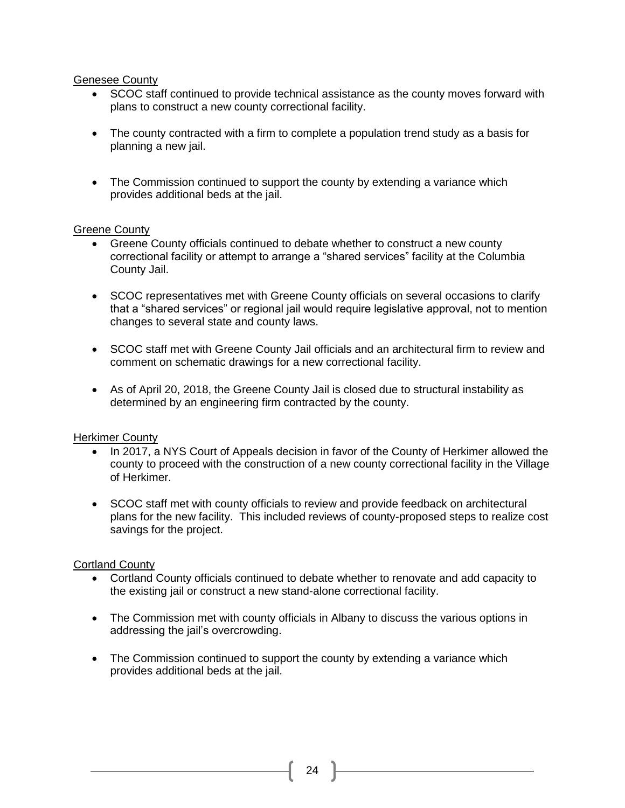#### Genesee County

- SCOC staff continued to provide technical assistance as the county moves forward with plans to construct a new county correctional facility.
- The county contracted with a firm to complete a population trend study as a basis for planning a new jail.
- The Commission continued to support the county by extending a variance which provides additional beds at the jail.

#### Greene County

- Greene County officials continued to debate whether to construct a new county correctional facility or attempt to arrange a "shared services" facility at the Columbia County Jail.
- SCOC representatives met with Greene County officials on several occasions to clarify that a "shared services" or regional jail would require legislative approval, not to mention changes to several state and county laws.
- SCOC staff met with Greene County Jail officials and an architectural firm to review and comment on schematic drawings for a new correctional facility.
- As of April 20, 2018, the Greene County Jail is closed due to structural instability as determined by an engineering firm contracted by the county.

### Herkimer County

- In 2017, a NYS Court of Appeals decision in favor of the County of Herkimer allowed the county to proceed with the construction of a new county correctional facility in the Village of Herkimer.
- SCOC staff met with county officials to review and provide feedback on architectural plans for the new facility. This included reviews of county-proposed steps to realize cost savings for the project.

### Cortland County

- Cortland County officials continued to debate whether to renovate and add capacity to the existing jail or construct a new stand-alone correctional facility.
- The Commission met with county officials in Albany to discuss the various options in addressing the jail's overcrowding.
- The Commission continued to support the county by extending a variance which provides additional beds at the jail.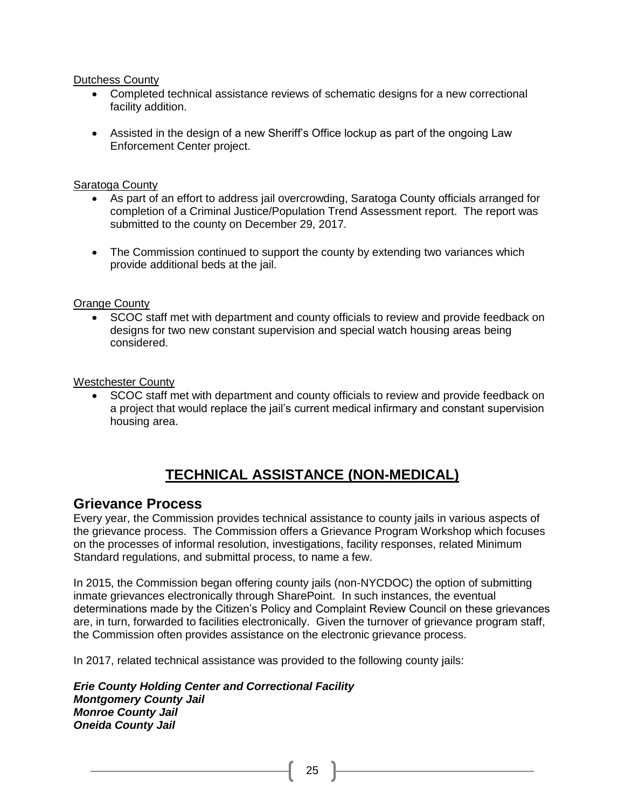#### Dutchess County

- Completed technical assistance reviews of schematic designs for a new correctional facility addition.
- Assisted in the design of a new Sheriff's Office lockup as part of the ongoing Law Enforcement Center project.

#### Saratoga County

- As part of an effort to address jail overcrowding, Saratoga County officials arranged for completion of a Criminal Justice/Population Trend Assessment report. The report was submitted to the county on December 29, 2017.
- The Commission continued to support the county by extending two variances which provide additional beds at the jail.

### Orange County

• SCOC staff met with department and county officials to review and provide feedback on designs for two new constant supervision and special watch housing areas being considered.

#### Westchester County

• SCOC staff met with department and county officials to review and provide feedback on a project that would replace the jail's current medical infirmary and constant supervision housing area.

# **TECHNICAL ASSISTANCE (NON-MEDICAL)**

### **Grievance Process**

Every year, the Commission provides technical assistance to county jails in various aspects of the grievance process. The Commission offers a Grievance Program Workshop which focuses on the processes of informal resolution, investigations, facility responses, related Minimum Standard regulations, and submittal process, to name a few.

In 2015, the Commission began offering county jails (non-NYCDOC) the option of submitting inmate grievances electronically through SharePoint. In such instances, the eventual determinations made by the Citizen's Policy and Complaint Review Council on these grievances are, in turn, forwarded to facilities electronically. Given the turnover of grievance program staff, the Commission often provides assistance on the electronic grievance process.

In 2017, related technical assistance was provided to the following county jails:

*Erie County Holding Center and Correctional Facility Montgomery County Jail Monroe County Jail Oneida County Jail*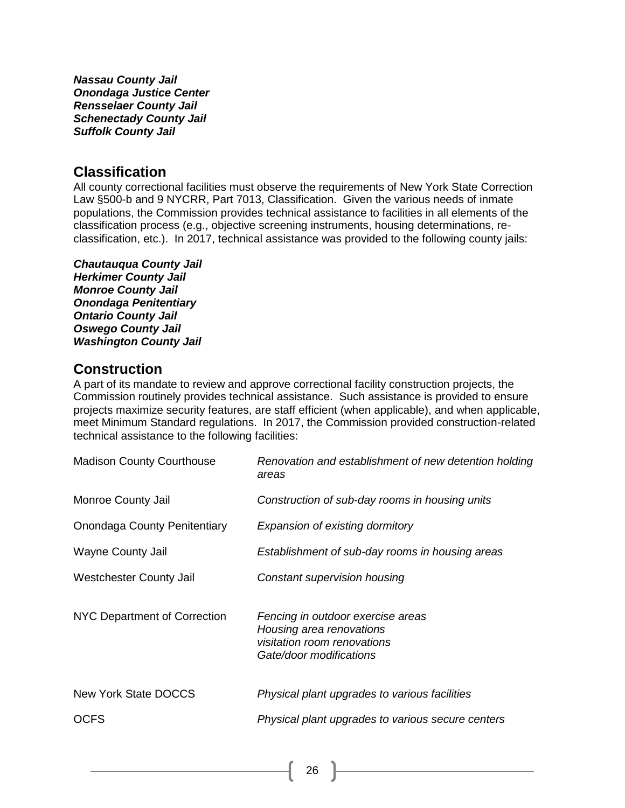*Nassau County Jail Onondaga Justice Center Rensselaer County Jail Schenectady County Jail Suffolk County Jail*

### **Classification**

All county correctional facilities must observe the requirements of New York State Correction Law §500-b and 9 NYCRR, Part 7013, Classification. Given the various needs of inmate populations, the Commission provides technical assistance to facilities in all elements of the classification process (e.g., objective screening instruments, housing determinations, reclassification, etc.). In 2017, technical assistance was provided to the following county jails:

*Chautauqua County Jail Herkimer County Jail*

*Monroe County Jail Onondaga Penitentiary Ontario County Jail Oswego County Jail Washington County Jail*

## **Construction**

A part of its mandate to review and approve correctional facility construction projects, the Commission routinely provides technical assistance. Such assistance is provided to ensure projects maximize security features, are staff efficient (when applicable), and when applicable, meet Minimum Standard regulations. In 2017, the Commission provided construction-related technical assistance to the following facilities:

| <b>Madison County Courthouse</b>    | Renovation and establishment of new detention holding<br>areas                                                          |
|-------------------------------------|-------------------------------------------------------------------------------------------------------------------------|
| Monroe County Jail                  | Construction of sub-day rooms in housing units                                                                          |
| <b>Onondaga County Penitentiary</b> | Expansion of existing dormitory                                                                                         |
| Wayne County Jail                   | Establishment of sub-day rooms in housing areas                                                                         |
| Westchester County Jail             | Constant supervision housing                                                                                            |
| NYC Department of Correction        | Fencing in outdoor exercise areas<br>Housing area renovations<br>visitation room renovations<br>Gate/door modifications |
| New York State DOCCS                | Physical plant upgrades to various facilities                                                                           |
| <b>OCFS</b>                         | Physical plant upgrades to various secure centers                                                                       |
|                                     |                                                                                                                         |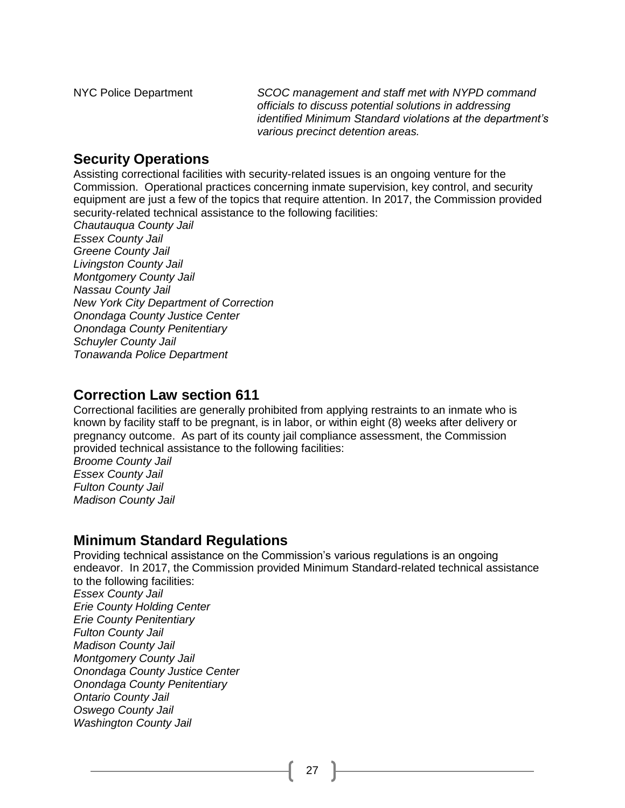NYC Police Department *SCOC management and staff met with NYPD command officials to discuss potential solutions in addressing identified Minimum Standard violations at the department's various precinct detention areas.*

## **Security Operations**

Assisting correctional facilities with security-related issues is an ongoing venture for the Commission. Operational practices concerning inmate supervision, key control, and security equipment are just a few of the topics that require attention. In 2017, the Commission provided security-related technical assistance to the following facilities:

*Chautauqua County Jail Essex County Jail Greene County Jail Livingston County Jail Montgomery County Jail Nassau County Jail New York City Department of Correction Onondaga County Justice Center Onondaga County Penitentiary Schuyler County Jail Tonawanda Police Department*

## **Correction Law section 611**

Correctional facilities are generally prohibited from applying restraints to an inmate who is known by facility staff to be pregnant, is in labor, or within eight (8) weeks after delivery or pregnancy outcome. As part of its county jail compliance assessment, the Commission provided technical assistance to the following facilities:

*Broome County Jail Essex County Jail Fulton County Jail Madison County Jail*

## **Minimum Standard Regulations**

Providing technical assistance on the Commission's various regulations is an ongoing endeavor. In 2017, the Commission provided Minimum Standard-related technical assistance to the following facilities: *Essex County Jail Erie County Holding Center Erie County Penitentiary Fulton County Jail Madison County Jail Montgomery County Jail Onondaga County Justice Center Onondaga County Penitentiary Ontario County Jail Oswego County Jail Washington County Jail*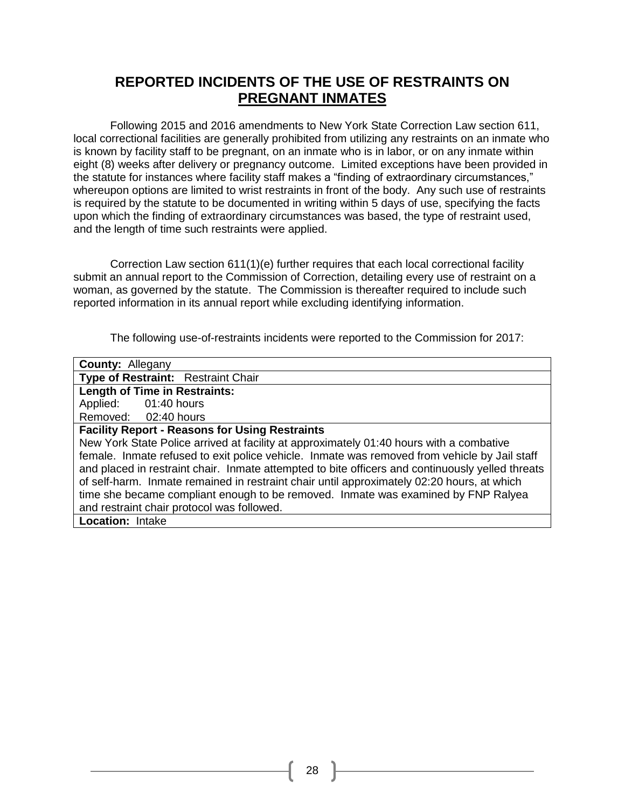## **REPORTED INCIDENTS OF THE USE OF RESTRAINTS ON PREGNANT INMATES**

Following 2015 and 2016 amendments to New York State Correction Law section 611, local correctional facilities are generally prohibited from utilizing any restraints on an inmate who is known by facility staff to be pregnant, on an inmate who is in labor, or on any inmate within eight (8) weeks after delivery or pregnancy outcome. Limited exceptions have been provided in the statute for instances where facility staff makes a "finding of extraordinary circumstances," whereupon options are limited to wrist restraints in front of the body. Any such use of restraints is required by the statute to be documented in writing within 5 days of use, specifying the facts upon which the finding of extraordinary circumstances was based, the type of restraint used, and the length of time such restraints were applied.

Correction Law section 611(1)(e) further requires that each local correctional facility submit an annual report to the Commission of Correction, detailing every use of restraint on a woman, as governed by the statute. The Commission is thereafter required to include such reported information in its annual report while excluding identifying information.

The following use-of-restraints incidents were reported to the Commission for 2017:

| <b>County: Allegany</b>                                                                          |  |  |  |  |
|--------------------------------------------------------------------------------------------------|--|--|--|--|
| Type of Restraint: Restraint Chair                                                               |  |  |  |  |
| <b>Length of Time in Restraints:</b>                                                             |  |  |  |  |
| Applied: 01:40 hours                                                                             |  |  |  |  |
| Removed: 02:40 hours                                                                             |  |  |  |  |
| <b>Facility Report - Reasons for Using Restraints</b>                                            |  |  |  |  |
| New York State Police arrived at facility at approximately 01:40 hours with a combative          |  |  |  |  |
| female. Inmate refused to exit police vehicle. Inmate was removed from vehicle by Jail staff     |  |  |  |  |
| and placed in restraint chair. Inmate attempted to bite officers and continuously yelled threats |  |  |  |  |
| of self-harm. Inmate remained in restraint chair until approximately 02:20 hours, at which       |  |  |  |  |
| time she became compliant enough to be removed. Inmate was examined by FNP Ralyea                |  |  |  |  |
| and restraint chair protocol was followed.                                                       |  |  |  |  |
| <b>Location: Intake</b>                                                                          |  |  |  |  |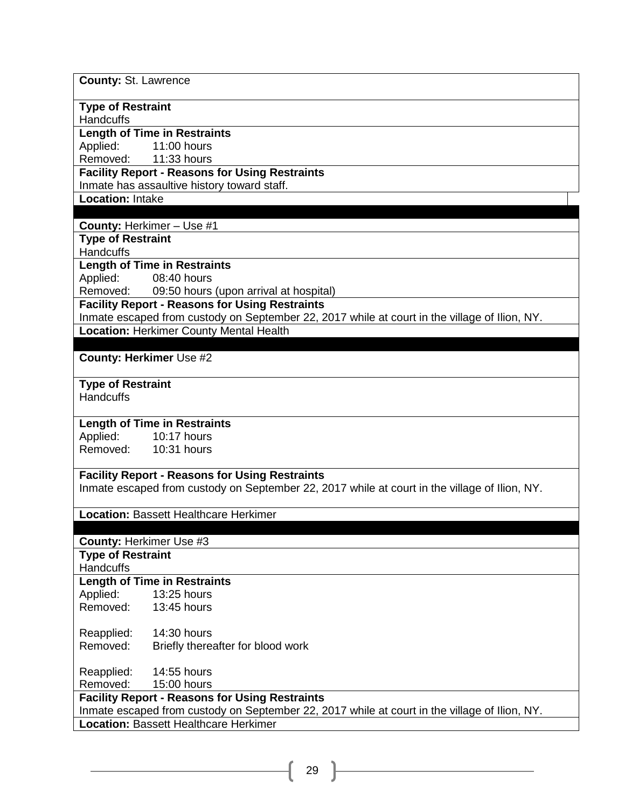**County:** St. Lawrence

### **Type of Restraint**

**Handcuffs** 

### **Length of Time in Restraints**

Applied: 11:00 hours Removed: 11:33 hours

### **Facility Report - Reasons for Using Restraints**

Inmate has assaultive history toward staff.

**Location:** Intake

### **County:** Herkimer – Use #1

### **Type of Restraint**

**Handcuffs** 

### **Length of Time in Restraints**

Applied: 08:40 hours

Removed: 09:50 hours (upon arrival at hospital)

#### **Facility Report - Reasons for Using Restraints**

Inmate escaped from custody on September 22, 2017 while at court in the village of Ilion, NY. **Location:** Herkimer County Mental Health

#### **County: Herkimer** Use #2

#### **Type of Restraint**

**Handcuffs** 

### **Length of Time in Restraints**

Applied: 10:17 hours<br>Removed: 10:31 hours

10:31 hours

#### **Facility Report - Reasons for Using Restraints**

Inmate escaped from custody on September 22, 2017 while at court in the village of Ilion, NY.

### **Location:** Bassett Healthcare Herkimer

**County:** Herkimer Use #3

**Type of Restraint** 

**Handcuffs** 

### **Length of Time in Restraints**

Applied: 13:25 hours Removed: 13:45 hours

Reapplied: 14:30 hours<br>Removed: Briefly therea

Briefly thereafter for blood work

Reapplied: 14:55 hours

Removed: 15:00 hours

## **Facility Report - Reasons for Using Restraints**

Inmate escaped from custody on September 22, 2017 while at court in the village of Ilion, NY.

**Location:** Bassett Healthcare Herkimer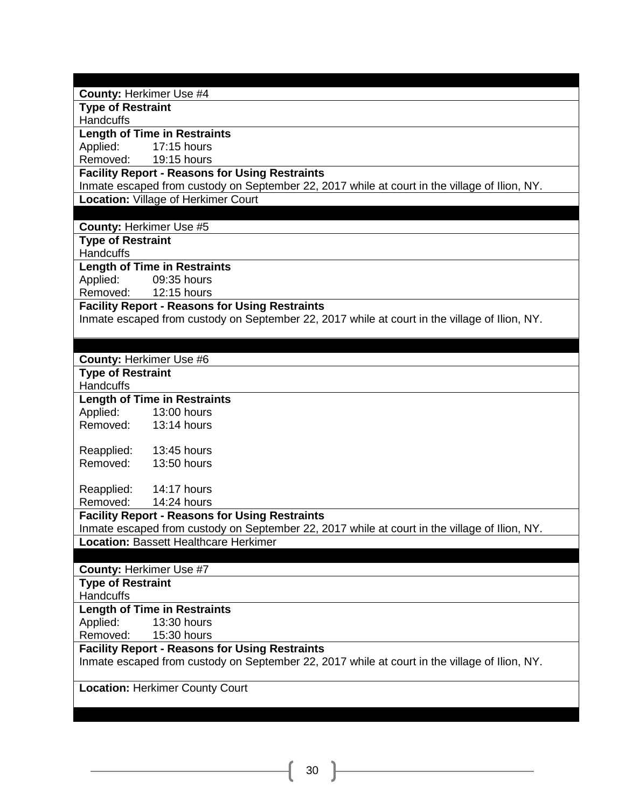**County:** Herkimer Use #4

**Type of Restraint** 

**Handcuffs** 

#### **Length of Time in Restraints**

Applied: 17:15 hours

Removed: 19:15 hours

### **Facility Report - Reasons for Using Restraints**

Inmate escaped from custody on September 22, 2017 while at court in the village of Ilion, NY. **Location:** Village of Herkimer Court

#### **County:** Herkimer Use #5

**Type of Restraint** 

**Handcuffs** 

**Length of Time in Restraints** Applied: 09:35 hours

Removed: 12:15 hours

### **Facility Report - Reasons for Using Restraints**

Inmate escaped from custody on September 22, 2017 while at court in the village of Ilion, NY.

### **County:** Herkimer Use #6

**Type of Restraint** 

**Handcuffs** 

## **Length of Time in Restraints**

Applied: 13:00 hours Removed: 13:14 hours

Reapplied: 13:45 hours Removed: 13:50 hours

Reapplied: 14:17 hours Removed: 14:24 hours

#### **Facility Report - Reasons for Using Restraints**

Inmate escaped from custody on September 22, 2017 while at court in the village of Ilion, NY. **Location:** Bassett Healthcare Herkimer

### **County:** Herkimer Use #7

**Type of Restraint** 

**Handcuffs** 

### **Length of Time in Restraints**

Applied: 13:30 hours

Removed: 15:30 hours

### **Facility Report - Reasons for Using Restraints**

Inmate escaped from custody on September 22, 2017 while at court in the village of Ilion, NY.

**Location:** Herkimer County Court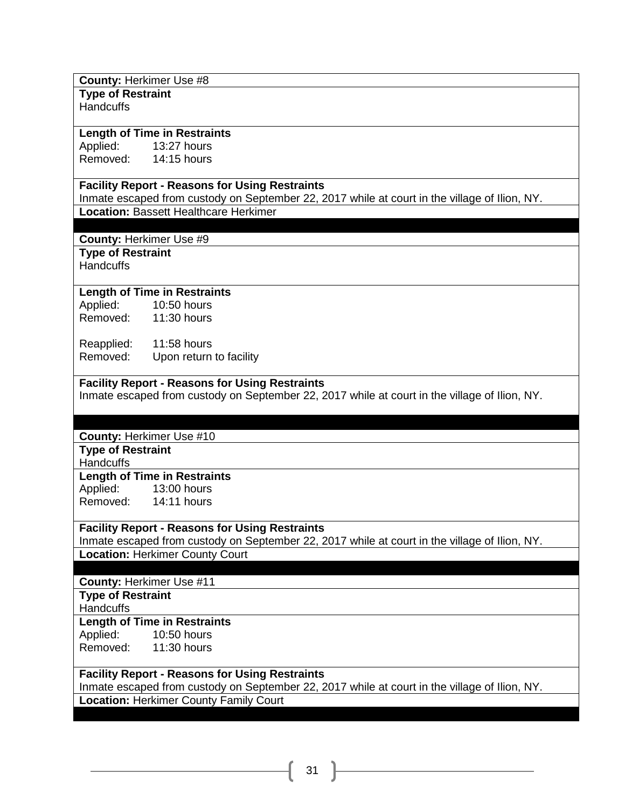#### **County:** Herkimer Use #8

**Type of Restraint Handcuffs** 

### **Length of Time in Restraints**

Applied: 13:27 hours Removed: 14:15 hours

### **Facility Report - Reasons for Using Restraints**

Inmate escaped from custody on September 22, 2017 while at court in the village of Ilion, NY. **Location:** Bassett Healthcare Herkimer

**County:** Herkimer Use #9

**Type of Restraint** 

Handcuffs

### **Length of Time in Restraints**

Applied: 10:50 hours<br>Removed: 11:30 hours  $11:30$  hours

Reapplied: 11:58 hours Removed: Upon return to facility

### **Facility Report - Reasons for Using Restraints**

Inmate escaped from custody on September 22, 2017 while at court in the village of Ilion, NY.

#### **County:** Herkimer Use #10

**Type of Restraint** 

**Handcuffs** 

### **Length of Time in Restraints**

Applied: 13:00 hours Removed: 14:11 hours

### **Facility Report - Reasons for Using Restraints**

Inmate escaped from custody on September 22, 2017 while at court in the village of Ilion, NY. **Location:** Herkimer County Court

**County:** Herkimer Use #11

**Type of Restraint** 

**Handcuffs** 

### **Length of Time in Restraints**

Applied: 10:50 hours Removed: 11:30 hours

### **Facility Report - Reasons for Using Restraints**

Inmate escaped from custody on September 22, 2017 while at court in the village of Ilion, NY. **Location:** Herkimer County Family Court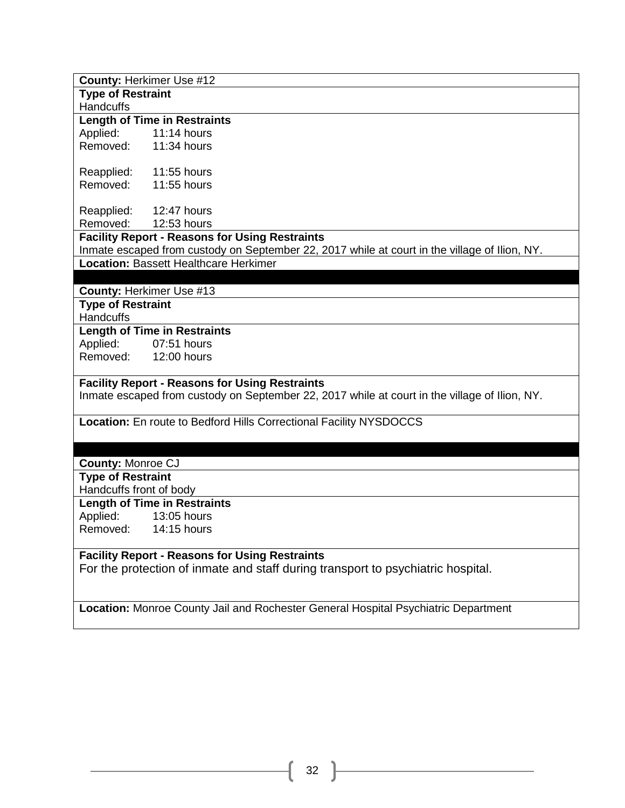| County: Herkimer Use #12                                                                      |  |  |  |  |
|-----------------------------------------------------------------------------------------------|--|--|--|--|
| <b>Type of Restraint</b>                                                                      |  |  |  |  |
| <b>Handcuffs</b>                                                                              |  |  |  |  |
| <b>Length of Time in Restraints</b>                                                           |  |  |  |  |
| Applied:<br>$11:14$ hours                                                                     |  |  |  |  |
| Removed:<br>11:34 hours                                                                       |  |  |  |  |
|                                                                                               |  |  |  |  |
| Reapplied:<br>11:55 hours                                                                     |  |  |  |  |
| Removed:<br>11:55 hours                                                                       |  |  |  |  |
|                                                                                               |  |  |  |  |
| 12:47 hours<br>Reapplied:                                                                     |  |  |  |  |
| Removed:<br>12:53 hours                                                                       |  |  |  |  |
| <b>Facility Report - Reasons for Using Restraints</b>                                         |  |  |  |  |
| Inmate escaped from custody on September 22, 2017 while at court in the village of Ilion, NY. |  |  |  |  |
| <b>Location: Bassett Healthcare Herkimer</b>                                                  |  |  |  |  |
|                                                                                               |  |  |  |  |
| County: Herkimer Use #13                                                                      |  |  |  |  |
| <b>Type of Restraint</b>                                                                      |  |  |  |  |
| Handcuffs                                                                                     |  |  |  |  |
| <b>Length of Time in Restraints</b>                                                           |  |  |  |  |
| Applied:<br>07:51 hours                                                                       |  |  |  |  |
| Removed: 12:00 hours                                                                          |  |  |  |  |
|                                                                                               |  |  |  |  |
| <b>Facility Report - Reasons for Using Restraints</b>                                         |  |  |  |  |
| Inmate escaped from custody on September 22, 2017 while at court in the village of Ilion, NY. |  |  |  |  |
|                                                                                               |  |  |  |  |
| Location: En route to Bedford Hills Correctional Facility NYSDOCCS                            |  |  |  |  |
|                                                                                               |  |  |  |  |
|                                                                                               |  |  |  |  |
| <b>County: Monroe CJ</b>                                                                      |  |  |  |  |
| <b>Type of Restraint</b>                                                                      |  |  |  |  |
| Handcuffs front of body                                                                       |  |  |  |  |
| <b>Length of Time in Restraints</b>                                                           |  |  |  |  |
| Applied:<br>13:05 hours                                                                       |  |  |  |  |
| Removed: 14:15 hours                                                                          |  |  |  |  |
| <b>Facility Report - Reasons for Using Restraints</b>                                         |  |  |  |  |
|                                                                                               |  |  |  |  |
| For the protection of inmate and staff during transport to psychiatric hospital.              |  |  |  |  |
|                                                                                               |  |  |  |  |
| Location: Monroe County Jail and Rochester General Hospital Psychiatric Department            |  |  |  |  |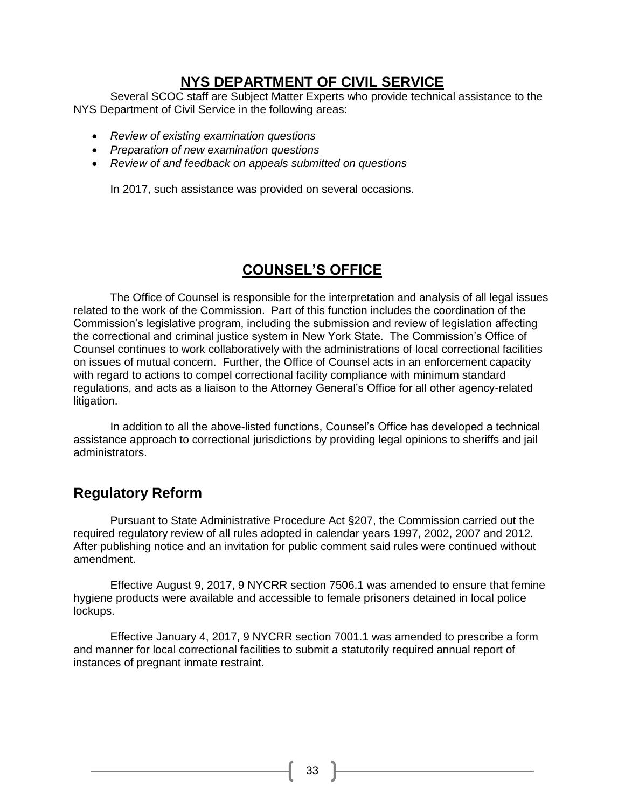### **NYS DEPARTMENT OF CIVIL SERVICE**

Several SCOC staff are Subject Matter Experts who provide technical assistance to the NYS Department of Civil Service in the following areas:

- *Review of existing examination questions*
- *Preparation of new examination questions*
- *Review of and feedback on appeals submitted on questions*

In 2017, such assistance was provided on several occasions.

## **COUNSEL'S OFFICE**

The Office of Counsel is responsible for the interpretation and analysis of all legal issues related to the work of the Commission. Part of this function includes the coordination of the Commission's legislative program, including the submission and review of legislation affecting the correctional and criminal justice system in New York State. The Commission's Office of Counsel continues to work collaboratively with the administrations of local correctional facilities on issues of mutual concern. Further, the Office of Counsel acts in an enforcement capacity with regard to actions to compel correctional facility compliance with minimum standard regulations, and acts as a liaison to the Attorney General's Office for all other agency-related litigation.

In addition to all the above-listed functions, Counsel's Office has developed a technical assistance approach to correctional jurisdictions by providing legal opinions to sheriffs and jail administrators.

## **Regulatory Reform**

Pursuant to State Administrative Procedure Act §207, the Commission carried out the required regulatory review of all rules adopted in calendar years 1997, 2002, 2007 and 2012. After publishing notice and an invitation for public comment said rules were continued without amendment.

Effective August 9, 2017, 9 NYCRR section 7506.1 was amended to ensure that femine hygiene products were available and accessible to female prisoners detained in local police lockups.

Effective January 4, 2017, 9 NYCRR section 7001.1 was amended to prescribe a form and manner for local correctional facilities to submit a statutorily required annual report of instances of pregnant inmate restraint.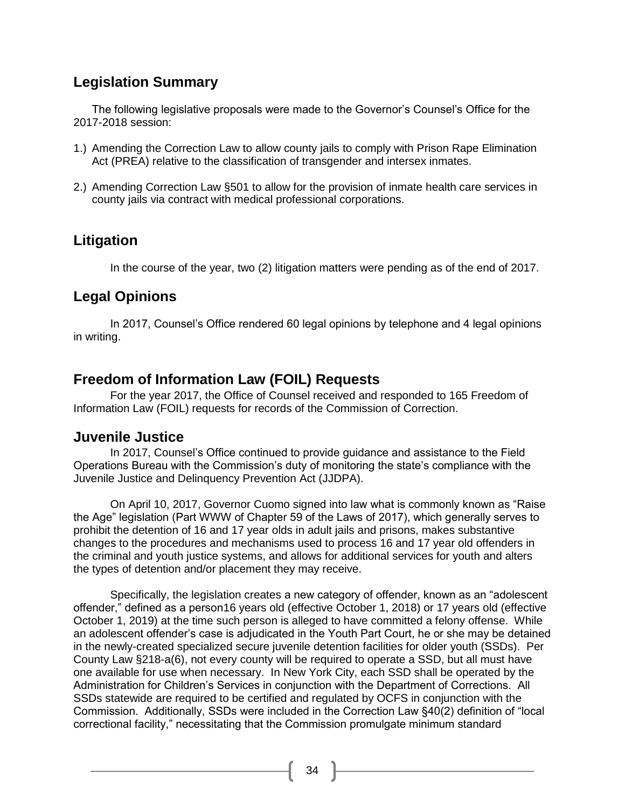## **Legislation Summary**

The following legislative proposals were made to the Governor's Counsel's Office for the 2017-2018 session:

- 1.) Amending the Correction Law to allow county jails to comply with Prison Rape Elimination Act (PREA) relative to the classification of transgender and intersex inmates.
- 2.) Amending Correction Law §501 to allow for the provision of inmate health care services in county jails via contract with medical professional corporations.

## **Litigation**

In the course of the year, two (2) litigation matters were pending as of the end of 2017.

## **Legal Opinions**

In 2017, Counsel's Office rendered 60 legal opinions by telephone and 4 legal opinions in writing.

## **Freedom of Information Law (FOIL) Requests**

For the year 2017, the Office of Counsel received and responded to 165 Freedom of Information Law (FOIL) requests for records of the Commission of Correction.

### **Juvenile Justice**

In 2017, Counsel's Office continued to provide guidance and assistance to the Field Operations Bureau with the Commission's duty of monitoring the state's compliance with the Juvenile Justice and Delinquency Prevention Act (JJDPA).

On April 10, 2017, Governor Cuomo signed into law what is commonly known as "Raise the Age" legislation (Part WWW of Chapter 59 of the Laws of 2017), which generally serves to prohibit the detention of 16 and 17 year olds in adult jails and prisons, makes substantive changes to the procedures and mechanisms used to process 16 and 17 year old offenders in the criminal and youth justice systems, and allows for additional services for youth and alters the types of detention and/or placement they may receive.

Specifically, the legislation creates a new category of offender, known as an "adolescent offender," defined as a person16 years old (effective October 1, 2018) or 17 years old (effective October 1, 2019) at the time such person is alleged to have committed a felony offense. While an adolescent offender's case is adjudicated in the Youth Part Court, he or she may be detained in the newly-created specialized secure juvenile detention facilities for older youth (SSDs). Per County Law §218-a(6), not every county will be required to operate a SSD, but all must have one available for use when necessary. In New York City, each SSD shall be operated by the Administration for Children's Services in conjunction with the Department of Corrections. All SSDs statewide are required to be certified and regulated by OCFS in conjunction with the Commission. Additionally, SSDs were included in the Correction Law §40(2) definition of "local correctional facility," necessitating that the Commission promulgate minimum standard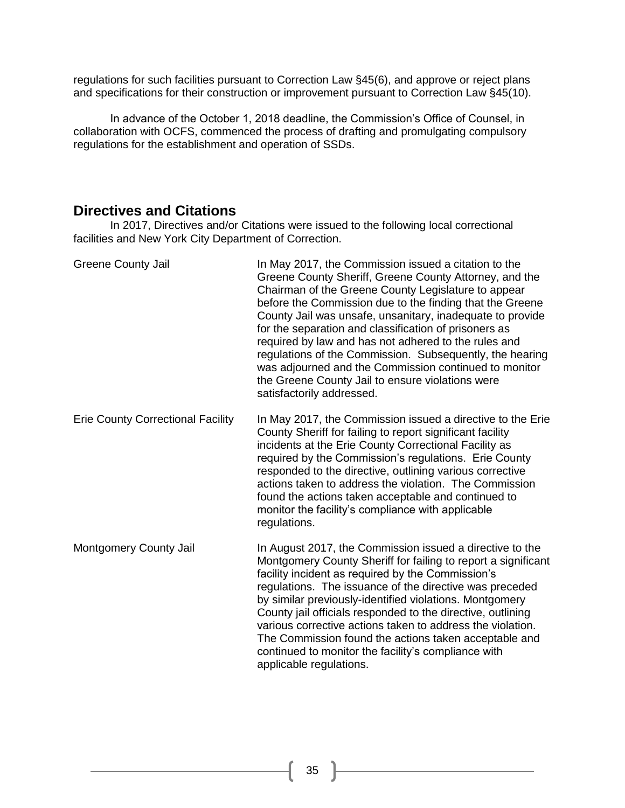regulations for such facilities pursuant to Correction Law §45(6), and approve or reject plans and specifications for their construction or improvement pursuant to Correction Law §45(10).

In advance of the October 1, 2018 deadline, the Commission's Office of Counsel, in collaboration with OCFS, commenced the process of drafting and promulgating compulsory regulations for the establishment and operation of SSDs.

### **Directives and Citations**

In 2017, Directives and/or Citations were issued to the following local correctional facilities and New York City Department of Correction.

| <b>Greene County Jail</b>                | In May 2017, the Commission issued a citation to the<br>Greene County Sheriff, Greene County Attorney, and the<br>Chairman of the Greene County Legislature to appear<br>before the Commission due to the finding that the Greene<br>County Jail was unsafe, unsanitary, inadequate to provide<br>for the separation and classification of prisoners as<br>required by law and has not adhered to the rules and<br>regulations of the Commission. Subsequently, the hearing<br>was adjourned and the Commission continued to monitor<br>the Greene County Jail to ensure violations were<br>satisfactorily addressed. |
|------------------------------------------|-----------------------------------------------------------------------------------------------------------------------------------------------------------------------------------------------------------------------------------------------------------------------------------------------------------------------------------------------------------------------------------------------------------------------------------------------------------------------------------------------------------------------------------------------------------------------------------------------------------------------|
| <b>Erie County Correctional Facility</b> | In May 2017, the Commission issued a directive to the Erie<br>County Sheriff for failing to report significant facility<br>incidents at the Erie County Correctional Facility as<br>required by the Commission's regulations. Erie County<br>responded to the directive, outlining various corrective<br>actions taken to address the violation. The Commission<br>found the actions taken acceptable and continued to<br>monitor the facility's compliance with applicable<br>regulations.                                                                                                                           |
| Montgomery County Jail                   | In August 2017, the Commission issued a directive to the<br>Montgomery County Sheriff for failing to report a significant<br>facility incident as required by the Commission's<br>regulations. The issuance of the directive was preceded<br>by similar previously-identified violations. Montgomery<br>County jail officials responded to the directive, outlining<br>various corrective actions taken to address the violation.<br>The Commission found the actions taken acceptable and<br>continued to monitor the facility's compliance with<br>applicable regulations.                                          |